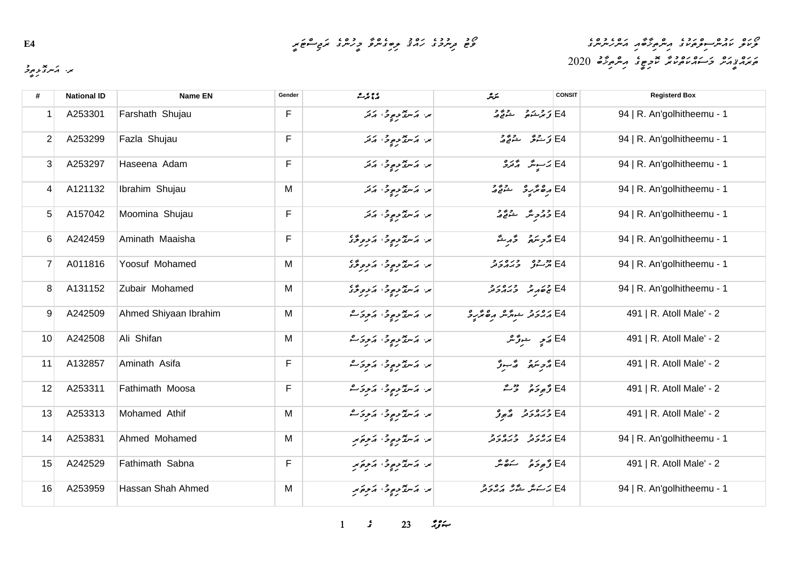*sCw7q7s5w7m< o<n9nOoAw7o< sCq;mAwBoEw7q<m; wBm;vB* م من المرة المرة المرة المرة المرة المرة العربية 2020<br>مجم*د المريض المريض المربع المربع المربع المراجع المراجع ال* 

|     | , , ,          |  |
|-----|----------------|--|
|     | ىر. برسرى ىرەر |  |
| s 1 |                |  |

| #               | <b>National ID</b> | Name EN               | Gender      | بروبره                    | ىترىش                                         | <b>CONSIT</b> | <b>Registerd Box</b>       |
|-----------------|--------------------|-----------------------|-------------|---------------------------|-----------------------------------------------|---------------|----------------------------|
|                 | A253301            | Farshath Shujau       | F           | بر مستوج کار              | E4 كَرْمَرْ مُشْهَرِ مُشْرَفَعِ مُدَّ         |               | 94   R. An'golhitheemu - 1 |
| $\overline{2}$  | A253299            | Fazla Shujau          | F           | بر كەستەرەپەق كەتكە       | E4 كَرْسْتْكُرْ صُوَّةْ مُدَّ                 |               | 94   R. An'golhitheemu - 1 |
| 3               | A253297            | Haseena Adam          | F           | ىن مەسكە بورە، مەتر       | E4 كەسپەنتى م <i>ەقت</i> ى5                   |               | 94   R. An'golhitheemu - 1 |
| $\vert 4 \vert$ | A121132            | Ibrahim Shujau        | M           | بر كەستە بولۇ، كەنتە      | E4 مەھەر بەر ھەم 24                           |               | 94   R. An'golhitheemu - 1 |
| 5               | A157042            | Moomina Shujau        | F           | بر كەستەرەپچە كەتكە       | E4ح <i>م م جو جو شوق م</i>                    |               | 94   R. An'golhitheemu - 1 |
| 6               | A242459            | Aminath Maaisha       | $\mathsf F$ | بر ، مسيوم ده مورود       | E4 مُجِسَعْهُ وُمِسَّةٌ                       |               | 94   R. An'golhitheemu - 1 |
| $\overline{7}$  | A011816            | Yoosuf Mohamed        | M           | ىر. مەسكىرموق، مەرەر ئۇي  | E4 جز شور وبرورو                              |               | 94   R. An'golhitheemu - 1 |
| 8               | A131152            | Zubair Mohamed        | M           | بر مستوجع اموجع           | $5,000$ $2,000$ $E4$                          |               | 94   R. An'golhitheemu - 1 |
| 9               | A242509            | Ahmed Shiyaan Ibrahim | M           | أين مكتند ومودي مكروك     | E4 <i>ג׳.3 دَ جو اگر م</i> ُ مُحَمَّدٍ وَ     |               | 491   R. Atoll Male' - 2   |
| 10              | A242508            | Ali Shifan            | M           | أين ماسيو مودي مأثر وكالم | E4 <i>جَرِجِي</i> سُو <i>رَ</i> سُر           |               | 491   R. Atoll Male' - 2   |
| 11              | A132857            | Aminath Asifa         | F           | ىن مەسكەبورى، مەبرۇپ      | E4 مُرْحِسَمُ مُحْسِرَتُر                     |               | 491   R. Atoll Male' - 2   |
| 12              | A253311            | Fathimath Moosa       | F           | ىر. مەس دەپرى، مەر ئەگ    | E4 وَجِعَة حَرَ مَشَرٌ                        |               | 491   R. Atoll Male' - 2   |
| 13              | A253313            | Mohamed Athif         | M           | ىن مەسكەبورى، مەبرۇپ      | E4 <i>جەممى ھىمبوقى</i>                       |               | 491   R. Atoll Male' - 2   |
| 14              | A253831            | Ahmed Mohamed         | M           | برا مستوجع والمرحوب       | E4 ג׳כנר כגמכנר                               |               | 94   R. An'golhitheemu - 1 |
| 15              | A242529            | Fathimath Sabna       | $\mathsf F$ | برا مستوجع والمرحوب       | E4 أَوَّجِرْ حَرَّمَ سَنَّةَ مَدَّر           |               | 491   R. Atoll Male' - 2   |
| 16              | A253959            | Hassan Shah Ahmed     | M           | بر مستوجع المرخير         | E4   پرستريس ش <i>مر<sup>و</sup>   پرو</i> تر |               | 94   R. An'golhitheemu - 1 |

 $1$  *s* 23  $23$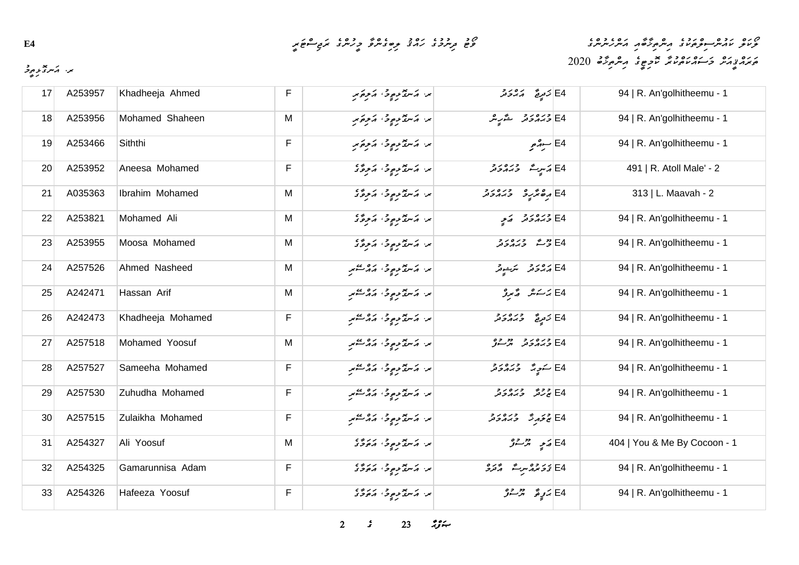*sCw7q7s5w7m< o<n9nOoAw7o< sCq;mAwBoEw7q<m; wBm;vB* م من المرة المرة المرة المرجع المرجع في المركبة 2020<br>مجم*د المريض المربوط المربع المرجع في المراجع المركبة* 

|     | , , ,          |  |
|-----|----------------|--|
|     | ىر. برسرى ىرەر |  |
| . . |                |  |

| 17 | A253957 | Khadheeja Ahmed   | F            | ىر. مەس <u>ت</u> ىرم <sub>ۇ</sub> چ، مەجمۇس | E4  زَمَرِيحٌ     دَرُدُورٌ      | 94   R. An'golhitheemu - 1   |
|----|---------|-------------------|--------------|---------------------------------------------|----------------------------------|------------------------------|
| 18 | A253956 | Mohamed Shaheen   | M            | برا مستوجع أمرة                             | E4 <i>وَبَرْوَدُوَ</i> حَدَّرِسُ | 94   R. An'golhitheemu - 1   |
| 19 | A253466 | Siththi           | $\mathsf{F}$ | برا مكتند ده و محركة بر                     | E4 سورمو                         | 94   R. An'golhitheemu - 1   |
| 20 | A253952 | Aneesa Mohamed    | F            | بر ، مستوجع أن موقوع                        | E4 كەسرىسى ئەممەدىر              | 491   R. Atoll Male' - 2     |
| 21 | A035363 | Ibrahim Mohamed   | M            | بر. مُستَوْمٍ وَ، مَوَمَّى                  | E4 مەھمەر 250.000                | 313   L. Maavah - 2          |
| 22 | A253821 | Mohamed Ali       | M            | برا مستوجع أمروهم                           | E4 <i>جەنەدى كەي</i>             | 94   R. An'golhitheemu - 1   |
| 23 | A253955 | Moosa Mohamed     | M            | برا مكس الموقى مكرومى                       | /E4 ح برورور                     | 94   R. An'golhitheemu - 1   |
| 24 | A257526 | Ahmed Nasheed     | M            | بر رکستو ده ده ده می                        | E4 <i>م بر\$ى مى مى</i> خومى     | 94   R. An'golhitheemu - 1   |
| 25 | A242471 | Hassan Arif       | M            | من مُس موج و ماه علم من                     | E4 پرسٹر گھ <i>مبرڈ</i>          | 94   R. An'golhitheemu - 1   |
| 26 | A242473 | Khadheeja Mohamed | F            | بر مسلم ده ده ماه علم                       | E4 زَمَرِيحَ - 3×20 وَ           | 94   R. An'golhitheemu - 1   |
| 27 | A257518 | Mohamed Yoosuf    | M            | من مُس موج و ماه علم من                     | E4 32,322 مركز                   | 94   R. An'golhitheemu - 1   |
| 28 | A257527 | Sameeha Mohamed   | $\mathsf{F}$ | برا مستدع والتحامي المتحاملي                | E4 سَوِيَّة وَيَرْدُونَدُ        | 94   R. An'golhitheemu - 1   |
| 29 | A257530 | Zuhudha Mohamed   | $\mathsf{F}$ | بر کم سر دو ده ده من                        | E4 ج ح ثر محدد حدد حد            | 94   R. An'golhitheemu - 1   |
| 30 | A257515 | Zulaikha Mohamed  | F            | بر كەسلام بوق كەرت بىر                      | E4 تحوير محمد وروبر و            | 94   R. An'golhitheemu - 1   |
| 31 | A254327 | Ali Yoosuf        | M            | بر ، مستوج و ، مسجود                        | E4 کی پی میں شوشوں<br>ا          | 404   You & Me By Cocoon - 1 |
| 32 | A254325 | Gamarunnisa Adam  | $\mathsf{F}$ | بر كاستوج كالموجود                          | E4 تۈكەتمەكلىرى مەمرى            | 94   R. An'golhitheemu - 1   |
| 33 | A254326 | Hafeeza Yoosuf    | F            | بر ، كاستوج في المتوحد                      | E4 بَرَرٍ جُمْ بِرْحَمَرُ ا      | 94   R. An'golhitheemu - 1   |

 $2$  *s* **23** *n***<sub>3</sub> <b>***n*<sub>3</sub> *n*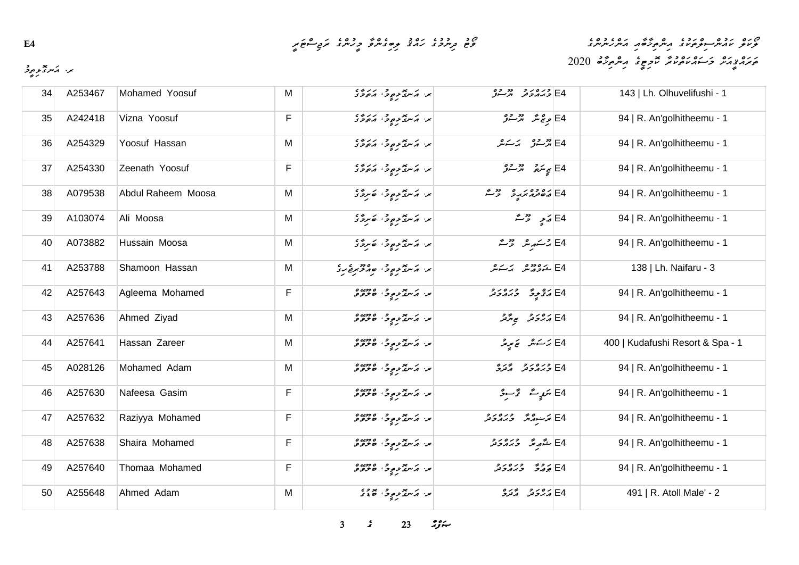*sCw7q7s5w7m< o<n9nOoAw7o< sCq;mAwBoEw7q<m; wBm;vB* م من المرة المرة المرة المرجع المرجع في المركبة 2020<br>مجم*د المريض المربوط المربع المرجع في المراجع المركبة* 

|     | , , ,          |  |  |
|-----|----------------|--|--|
|     | ىر. برسرى ىرەر |  |  |
| . . |                |  |  |

| 34 | A253467 | Mohamed Yoosuf     | M           | بر كەسلام بود كەن دە                               | E4 32,222 مركز                                | 143   Lh. Olhuvelifushi - 1      |
|----|---------|--------------------|-------------|----------------------------------------------------|-----------------------------------------------|----------------------------------|
| 35 | A242418 | Vizna Yoosuf       | $\mathsf F$ | بر كاست ده د كارون                                 | E4 <sub>جو</sub> ج بٹر بڑے ژ                  | 94   R. An'golhitheemu - 1       |
| 36 | A254329 | Yoosuf Hassan      | M           | بر كاستوج و كرده                                   |                                               | 94   R. An'golhitheemu - 1       |
| 37 | A254330 | Zeenath Yoosuf     | $\mathsf F$ | بر كاستوج كالموجود                                 | E4 يې ئىر قىم قىر تىرتى<br>ك                  | 94   R. An'golhitheemu - 1       |
| 38 | A079538 | Abdul Raheem Moosa | M           | بر ، مستوج و الصرفر و                              | E4 كەھەممەر 2-2 كەنتىگە                       | 94   R. An'golhitheemu - 1       |
| 39 | A103074 | Ali Moosa          | M           | بر ، مستوج و الصرور                                | E4 کی تخی شگ                                  | 94   R. An'golhitheemu - 1       |
| 40 | A073882 | Hussain Moosa      | M           | برا مستوجع والصرفرى                                | E4 پر شہر میں صح                              | 94   R. An'golhitheemu - 1       |
| 41 | A253788 | Shamoon Hassan     | M           | بر كەسكە دەرج ھەم دىرى رى                          | E4 شۇ <i>ھەش برسكى</i> ر                      | 138   Lh. Naifaru - 3            |
| 42 | A257643 | Agleema Mohamed    | F           | بر کرست ده ودوره<br>بر کرست ده ول                  | E4 كەنۋىرى ئەمەر ئەرەپىر                      | 94   R. An'golhitheemu - 1       |
| 43 | A257636 | Ahmed Ziyad        | M           | بر که سر د و دوره و دوره و                         | E4 كەش <sup>ى</sup> كەش س <sub>ى ب</sub> وگەر | 94   R. An'golhitheemu - 1       |
| 44 | A257641 | Hassan Zareer      | M           | بر کرسی در ۵ دوره و<br>بر کرس دی ده و ۶ ه دور      | E4   پرسترس کے میریٹر                         | 400   Kudafushi Resort & Spa - 1 |
| 45 | A028126 | Mohamed Adam       | M           | بر که سرگرم و موروه و در در د                      | E4 \$ 3 \$ 25 \$ 20 \$ 54                     | 94   R. An'golhitheemu - 1       |
| 46 | A257630 | Nafeesa Gasim      | $\mathsf F$ | بر ، كەس دەرە ئەدەرە<br>بر ، كەس دەرە ئەس ئەرەر    | E4 سَمِير - تَوَسِيرُ                         | 94   R. An'golhitheemu - 1       |
| 47 | A257632 | Raziyya Mohamed    | $\mathsf F$ | بر ، كەس دەرە ئەدەرە<br>بر ، كەس دەرە ئەس ئەرەر    | E4 ترجيد پر وره د ور                          | 94   R. An'golhitheemu - 1       |
| 48 | A257638 | Shaira Mohamed     | F           | بر که سر د و دوره و دوره و                         | E4 ش <i>ەم بىر 25.25 كى</i>                   | 94   R. An'golhitheemu - 1       |
| 49 | A257640 | Thomaa Mohamed     | $\mathsf F$ | بر که سر د و و و ووړه و<br>بر که سر د د و و و وو و | $5,000$ $500$ $E4$                            | 94   R. An'golhitheemu - 1       |
| 50 | A255648 | Ahmed Adam         | M           | بر کمیو ده ده ده                                   | E4 كەبرى بىر ئەرە                             | 491   R. Atoll Male' - 2         |

**3** *3* **<b>***23 23 <i>23 23*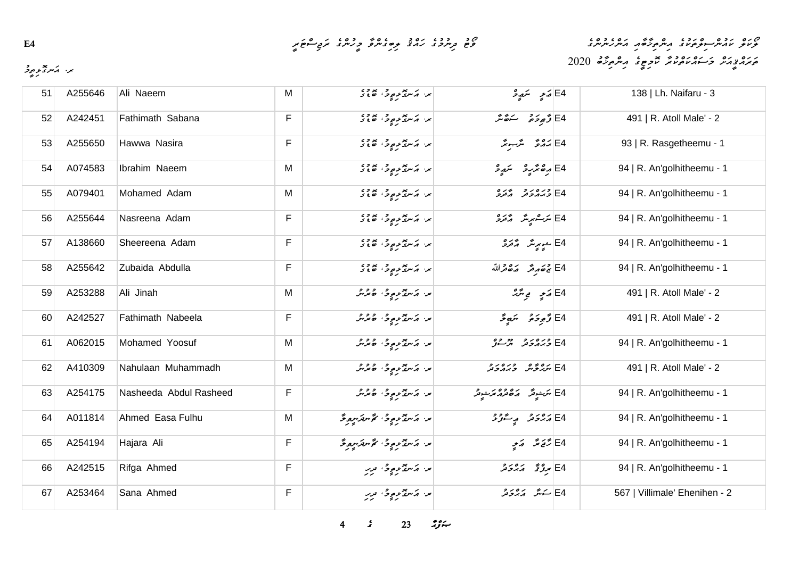*sCw7q7s5w7m< o<n9nOoAw7o< sCq;mAwBoEw7q<m; wBm;vB* م من المرة المرة المرة المرجع المرجع في المركبة 2020<br>مجم*د المريض المربوط المربع المرجع في المراجع المركبة* 

| 51 | A255646 | Ali Naeem              | M | بر كەستەر پەر بود ،                       | E4 <i>ڇَجِ سَمِي</i> وُ                       | 138   Lh. Naifaru - 3         |
|----|---------|------------------------|---|-------------------------------------------|-----------------------------------------------|-------------------------------|
| 52 | A242451 | Fathimath Sabana       | F | بر كەستەر پەر بود ،                       | E4 أَوَّجِرْ حَرَّمَ سَنَّةَ مَدَّ            | 491   R. Atoll Male' - 2      |
| 53 | A255650 | Hawwa Nasira           | F | بر كەستەر بەر بەد ،                       | E4 كَيْرْدَةْ مُدَّسِيةْ بَرْ                 | 93   R. Rasgetheemu - 1       |
| 54 | A074583 | Ibrahim Naeem          | M | بر كەسكە بور بود ،                        | E4 مەھەمگەر ئىس سىمبە ئىل                     | 94   R. An'golhitheemu - 1    |
| 55 | A079401 | Mohamed Adam           | M | بر که سرگرم و موده<br>بر که سرگرم و استاد | E4 322.5 محمده                                | 94   R. An'golhitheemu - 1    |
| 56 | A255644 | Nasreena Adam          | F | بر که سرگرم و موده<br>بر که سرگرم و استاد | E4 مَرَكْبِرِيمَ مَرْتَزَرَّ                  | 94   R. An'golhitheemu - 1    |
| 57 | A138660 | Sheereena Adam         | F | بر که سرگرم و موده<br>بر که سرگرم و استاد | E4 شومریٹر گ <sup>رو</sup> نرو                | 94   R. An'golhitheemu - 1    |
| 58 | A255642 | Zubaida Abdulla        | F | بر که سرگرم و موده<br>بر که سرگرم و استاد | E4 تج <i>صَمِر مَّرٌ مَ</i> هُوَ مَدَّاللَّهُ | 94   R. An'golhitheemu - 1    |
| 59 | A253288 | Ali Jinah              | M | بر كالتعميم في محمد                       | E4 <i>ھَجِ</i> مِسَمَّدُ                      | 491   R. Atoll Male' - 2      |
| 60 | A242527 | Fathimath Nabeela      | F | بر كەسكە بولى ئەل ئال                     | E4 زَّەپرە ئ <sup>و</sup> سَ <sub>ھ</sub> وگر | 491   R. Atoll Male' - 2      |
| 61 | A062015 | Mohamed Yoosuf         | M | من مُسْرَوْمٍ وَالصَّرْسُ                 | E4 3222 مرد وہ                                | 94   R. An'golhitheemu - 1    |
| 62 | A410309 | Nahulaan Muhammadh     | M | بر بر سر د ده و د و د                     | E4 يتركز مركز ويرە دىر                        | 491   R. Atoll Male' - 2      |
| 63 | A254175 | Nasheeda Abdul Rasheed | F | بر كمسكوموث ھىرس                          | E4 سَرَشِيشٌ صَرَ <i>م حَرَمٌ مَرَ</i> شِيشٍ  | 94   R. An'golhitheemu - 1    |
| 64 | A011814 | Ahmed Easa Fulhu       | M | أمرا المستخرج وفي المحاسبة كسيع في        | E4 كەبرى ھەر مەردى                            | 94   R. An'golhitheemu - 1    |
| 65 | A254194 | Hajara Ali             | F |                                           | E4 حُتى مَتَّ صَمَّح                          | 94   R. An'golhitheemu - 1    |
| 66 | A242515 | Rifga Ahmed            | F | ىن مەسىگىرە ئى تەرب                       | E4 برونۇ كەردى<br>=                           | 94   R. An'golhitheemu - 1    |
| 67 | A253464 | Sana Ahmed             | F | ىن مەسىم دەرە تەرر                        | E4 سەنىش مەيرى قىر                            | 567   Villimale' Ehenihen - 2 |

*4 s* 23 *i*<sub>Si</sub>

*q>pAo:uC7m< .8*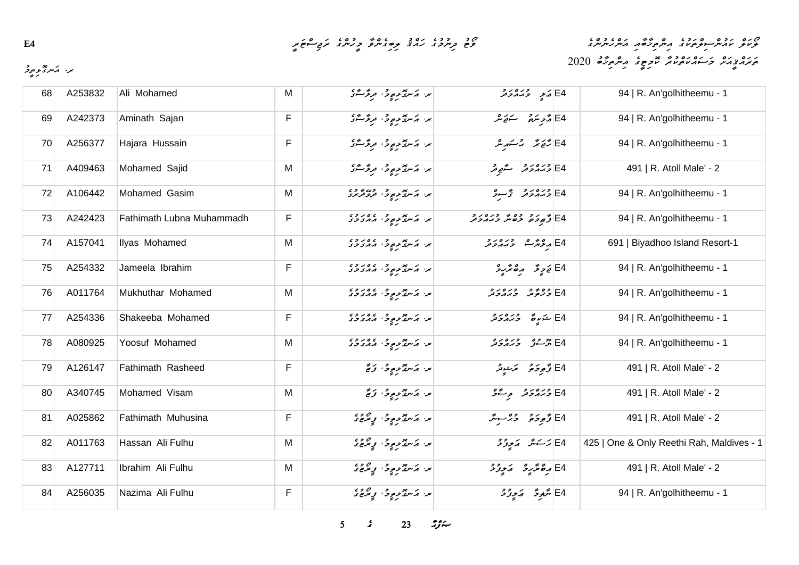*sCw7q7s5w7m< o<n9nOoAw7o< sCq;mAwBoEw7q<m; wBm;vB* م من المرة المرة المرة المرجع المرجع في المركبة 2020<br>مجم*د المريض المربوط المربع المرجع في المراجع المركبة* 

| 68 | A253832 | Ali Mohamed               | M           | ىر. مەسكىرموڭ، تېرىۋىسىمى                                                                                                                                                                                                                                                                                                       | E4 <i>كەبى بەشكە</i> تر                       | 94   R. An'golhitheemu - 1                |
|----|---------|---------------------------|-------------|---------------------------------------------------------------------------------------------------------------------------------------------------------------------------------------------------------------------------------------------------------------------------------------------------------------------------------|-----------------------------------------------|-------------------------------------------|
| 69 | A242373 | Aminath Sajan             | F           | ىن مەسكەن ھەرگە ھەرگەنگى                                                                                                                                                                                                                                                                                                        | E4 مُجِسَعَ سَنَ مَثَر                        | 94   R. An'golhitheemu - 1                |
| 70 | A256377 | Hajara Hussain            | F           | بر ، مسيحومٍ و ، مرگر شو                                                                                                                                                                                                                                                                                                        | E4 كَيْعَ مِمَّا مِرْسَمَ مِرْسَ              | 94   R. An'golhitheemu - 1                |
| 71 | A409463 | Mohamed Sajid             | M           | ىن مەسىرىم ۋە مەۋسىرى                                                                                                                                                                                                                                                                                                           | E4 <i>جەمەھەر سەھەت</i> ر                     | 491   R. Atoll Male' - 2                  |
| 72 | A106442 | Mohamed Gasim             | M           | بر که موجود ورود ور<br>بر که مرکز ده و افزوندی                                                                                                                                                                                                                                                                                  | E4 <i>32823</i> قرسو                          | 94   R. An'golhitheemu - 1                |
| 73 | A242423 | Fathimath Lubna Muhammadh | $\mathsf F$ | $\begin{pmatrix} 1 & 1 & 1 & 1 \\ 1 & 1 & 1 & 1 \\ 1 & 1 & 1 & 1 \\ 1 & 1 & 1 & 1 \\ 1 & 1 & 1 & 1 \\ 1 & 1 & 1 & 1 \\ 1 & 1 & 1 & 1 \\ 1 & 1 & 1 & 1 \\ 1 & 1 & 1 & 1 \\ 1 & 1 & 1 & 1 \\ 1 & 1 & 1 & 1 \\ 1 & 1 & 1 & 1 \\ 1 & 1 & 1 & 1 \\ 1 & 1 & 1 & 1 \\ 1 & 1 & 1 & 1 & 1 \\ 1 & 1 & 1 & 1 & 1 \\ 1 & 1 & 1 & 1 & 1 \\ $ | E4 و جو حرم معرض و دره د د                    | 94   R. An'golhitheemu - 1                |
| 74 | A157041 | Ilyas Mohamed             | M           | بر كه موجود ١٥٥٤                                                                                                                                                                                                                                                                                                                | E4 مۇنەك ئەيرە دىر                            | 691   Biyadhoo Island Resort-1            |
| 75 | A254332 | Jameela Ibrahim           | F           | س كەسلام دەرەرە                                                                                                                                                                                                                                                                                                                 | E4 <sub>ق</sub> َرِیْرَ م <i>ِی مُ</i> رْرِدْ | 94   R. An'golhitheemu - 1                |
| 76 | A011764 | Mukhuthar Mohamed         | M           | س كەسلام دەرە                                                                                                                                                                                                                                                                                                                   | E4 وره در دره در                              | 94   R. An'golhitheemu - 1                |
| 77 | A254336 | Shakeeba Mohamed          | F           | س كەسكە بولىق 2014 ك                                                                                                                                                                                                                                                                                                            | E4 شَرَمٍ صَ 2015مَّرَ                        | 94   R. An'golhitheemu - 1                |
| 78 | A080925 | Yoosuf Mohamed            | M           | بر کرسی دره ۲۶/۰۵۷<br>بر کرس گرم و ۲۶/۰۸ ک                                                                                                                                                                                                                                                                                      | E4 پر ده دره در                               | 94   R. An'golhitheemu - 1                |
| 79 | A126147 | Fathimath Rasheed         | F           | ىن مەستەرەپەق ئ                                                                                                                                                                                                                                                                                                                 | E4 تُرْجِوحَةً تَرَسُونَّرُ                   | 491   R. Atoll Male' - 2                  |
| 80 | A340745 | Mohamed Visam             | M           | بر. مَستخرم في وَمَح                                                                                                                                                                                                                                                                                                            | E4 دبره در موسكرمي                            | 491   R. Atoll Male' - 2                  |
| 81 | A025862 | Fathimath Muhusina        | F           | بر كەستەرمۇق بېرى                                                                                                                                                                                                                                                                                                               | E4 ژ <sub>ېچ</sub> وَن <sub>ه و</sub> ورىياته | 491   R. Atoll Male' - 2                  |
| 82 | A011763 | Hassan Ali Fulhu          | M           | بر كەسلام بوڭ بولدى                                                                                                                                                                                                                                                                                                             | E4   پرسته می که موثوثو                       | 425   One & Only Reethi Rah, Maldives - 1 |
| 83 | A127711 | Ibrahim Ali Fulhu         | M           | بر ، مستوج و ، و ، و ،                                                                                                                                                                                                                                                                                                          | E4 <sub>م</sub> ەمگرى <sub>د</sub> و كەردۇ    | 491   R. Atoll Male' - 2                  |
| 84 | A256035 | Nazima Ali Fulhu          | F           | بر ، مسيح ده ده و ۵ ده                                                                                                                                                                                                                                                                                                          | E4 سَّن <sub>ُ</sub> وِدَّ - سَرِيْرَ تَ      | 94   R. An'golhitheemu - 1                |

 $5$   $\cancel{5}$   $23$   $\cancel{23}$ 

*q>pAo:uC7m< .8*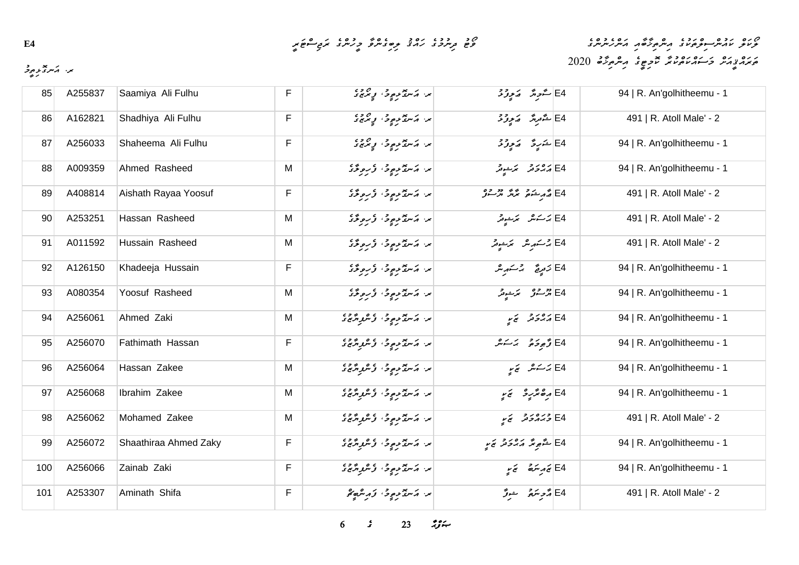*sCw7q7s5w7m< o<n9nOoAw7o< sCq;mAwBoEw7q<m; wBm;vB* م من المرة المرة المرة المرجع المرجع في المركبة 2020<br>مجم*د المريض المربوط المربع المرجع في المراجع المركبة* 

|   | $\rightarrow$ $\times$ $\rightarrow$ |  |  |
|---|--------------------------------------|--|--|
|   | ىر. برسرى ىرەرج                      |  |  |
| - |                                      |  |  |

| 85  | A255837 | Saamiya Ali Fulhu     | F           | ىر. مەسىر موق، ب <sub>و</sub> مۇمى                    | E4 گروگر کمروژگر                   | 94   R. An'golhitheemu - 1 |
|-----|---------|-----------------------|-------------|-------------------------------------------------------|------------------------------------|----------------------------|
| 86  | A162821 | Shadhiya Ali Fulhu    | $\mathsf F$ | بر ، مستوجع و ، و بروه                                | E4 ڪُمبرگر کر <i>وِرُ</i> گر       | 491   R. Atoll Male' - 2   |
| 87  | A256033 | Shaheema Ali Fulhu    | $\mathsf F$ | بر ، كەسكەر ھەر مەدە                                  | E4 ڪرير <i>5 مور</i> گر            | 94   R. An'golhitheemu - 1 |
| 88  | A009359 | Ahmed Rasheed         | M           | برا مُسْتَوْمِهِ فَاسْتَوْمَةٌ وَالْمُسْتَوَمَّةٌ فَا | E4 <i>مُرْدَوْرٌ مَرْ</i> حُومُرُ  | 94   R. An'golhitheemu - 1 |
| 89  | A408814 | Aishath Rayaa Yoosuf  | F           | برا مكلمة وهوقا كرام ومحاد                            | E4 مەم شىم ئىبىر مەسىر             | 491   R. Atoll Male' - 2   |
| 90  | A253251 | Hassan Rasheed        | M           | بر ، مسيح ده و محر و و د د                            | /E4   يَرْسَدُ مَرْسُوِيْرُ        | 491   R. Atoll Male' - 2   |
| 91  | A011592 | Hussain Rasheed       | M           | برا مكلمة وهوقا كرام ومحاد                            | E4 پُرڪوپر ڪرشوٽر                  | 491   R. Atoll Male' - 2   |
| 92  | A126150 | Khadeeja Hussain      | F           | برا مكلمة وهوقا كرام ومحاد                            | E4 كَتَعِيرةً مَ يَسْتَهْدِ مِثْرً | 94   R. An'golhitheemu - 1 |
| 93  | A080354 | Yoosuf Rasheed        | M           | بر ، مسيح ده و محمد و در و د د                        | E4 پر کے محمد سر کر میں تھا۔<br>ا  | 94   R. An'golhitheemu - 1 |
| 94  | A256061 | Ahmed Zaki            | M           | بر كەسلام بولى كەنگەردە                               | E4 كەندى كىم تىلىم بىر             | 94   R. An'golhitheemu - 1 |
| 95  | A256070 | Fathimath Hassan      | $\mathsf F$ | بر كەسلام بولى كەنگەردە                               | E4 وَجِعَة حَمَدَ سَنَة مِنْ       | 94   R. An'golhitheemu - 1 |
| 96  | A256064 | Hassan Zakee          | M           | بر كەسكەن بوڭ كەنگەردى                                | E4 پرسکس تھار                      | 94   R. An'golhitheemu - 1 |
| 97  | A256068 | Ibrahim Zakee         | M           | بر كەسكەن بۇ ئاس بۇ دە                                | E4  مەھمىيە 2 ئىم يىل              | 94   R. An'golhitheemu - 1 |
| 98  | A256062 | Mohamed Zakee         | M           | بر كەسكىرە ئۇس ئەدە                                   | E4 <i>وټرونو تم</i>                | 491   R. Atoll Male' - 2   |
| 99  | A256072 | Shaathiraa Ahmed Zaky | F           | بر كەسكىرە ئۇس ئەدە                                   | E4 ڪُن <i>ڊينگ مذڪر ڏي پ</i>       | 94   R. An'golhitheemu - 1 |
| 100 | A256066 | Zainab Zaki           | F           | بر كەسكىرە ئۇس ئەدە                                   | E4 يَوْسِعَةً بِحَمْدٍ             | 94   R. An'golhitheemu - 1 |
| 101 | A253307 | Aminath Shifa         | F           | من مسكومود كم شهرهم                                   | E4 مُرْحِسَمُ مِسْرَرٌ             | 491   R. Atoll Male' - 2   |

 $6$   $3$   $23$   $23$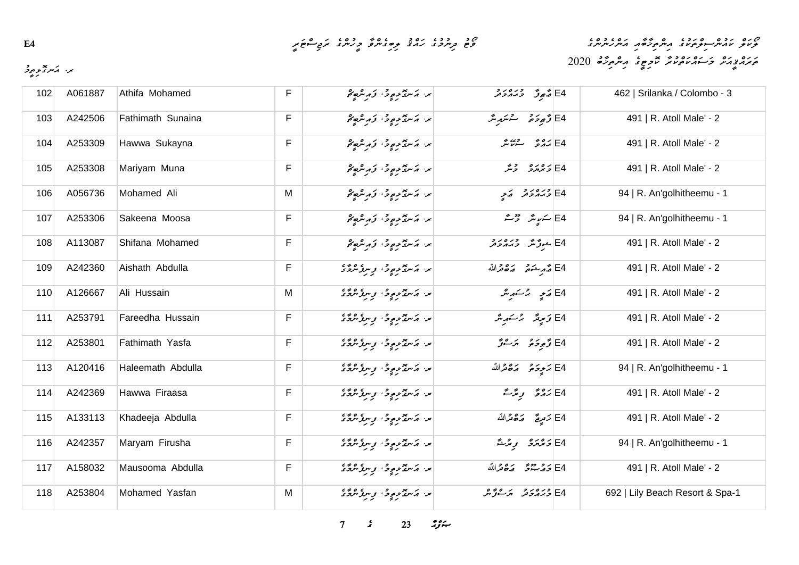*sCw7q7s5w7m< o<n9nOoAw7o< sCq;mAwBoEw7q<m; wBm;vB 2020<sup>, م</sup>وجدة المسجدة المستوجدة مسترم تقويم العلم العادل* 

| $\mathsf F$<br>102<br>A061887<br>Athifa Mohamed<br>F<br>103<br>A242506<br>Fathimath Sunaina<br>F<br>104<br>A253309<br>Hawwa Sukayna<br>F<br>105<br>A253308<br>Mariyam Muna<br>A056736<br>Mohamed Ali<br>106<br>M<br>F<br>107<br>A253306<br>Sakeena Moosa<br>F<br>Shifana Mohamed<br>108<br>A113087<br>F<br>109<br>A242360<br>Aishath Abdulla<br>110<br>A126667<br>Ali Hussain<br>M<br>F<br>111<br>A253791<br>Fareedha Hussain<br>F<br>A253801<br>Fathimath Yasfa<br>112<br>F<br>113<br>A120416<br>Haleemath Abdulla<br>F<br>114<br>A242369<br>Hawwa Firaasa<br>F<br>A133113<br>115<br>Khadeeja Abdulla | المن مكس وموجود ومرهوم<br>من مستوج و مرهوم<br>من مستوجع والمرجو<br>من مستوجع والمرضور<br>من مستوجع في ومستقار<br>من مستوجع والمرضي<br>من مستوجود كم مهاج<br>بر كەسلام بولى بولىدى ئەن | E4 مَّ جورٌ حَمَد حَمَد<br>E4 زُوچهٔ مشتمدِ مَدَّ<br>E4 يَهُمُّ سَمْتَيْتُر<br>E4 كەبرىرى ئەنگە<br>E4 دېمبر <i>دې</i> په<br>E4 سَرِیٹر ترجمۂ<br>E4 خوتر متر در در د<br>E4 مُجمِسْمَعْ مَصْحَداللّه | 462   Srilanka / Colombo - 3<br>491   R. Atoll Male' - 2<br>491   R. Atoll Male' - 2<br>491   R. Atoll Male' - 2<br>94   R. An'golhitheemu - 1<br>94   R. An'golhitheemu - 1<br>491   R. Atoll Male' - 2<br>491   R. Atoll Male' - 2 |
|--------------------------------------------------------------------------------------------------------------------------------------------------------------------------------------------------------------------------------------------------------------------------------------------------------------------------------------------------------------------------------------------------------------------------------------------------------------------------------------------------------------------------------------------------------------------------------------------------------|---------------------------------------------------------------------------------------------------------------------------------------------------------------------------------------|----------------------------------------------------------------------------------------------------------------------------------------------------------------------------------------------------|--------------------------------------------------------------------------------------------------------------------------------------------------------------------------------------------------------------------------------------|
|                                                                                                                                                                                                                                                                                                                                                                                                                                                                                                                                                                                                        |                                                                                                                                                                                       |                                                                                                                                                                                                    |                                                                                                                                                                                                                                      |
|                                                                                                                                                                                                                                                                                                                                                                                                                                                                                                                                                                                                        |                                                                                                                                                                                       |                                                                                                                                                                                                    |                                                                                                                                                                                                                                      |
|                                                                                                                                                                                                                                                                                                                                                                                                                                                                                                                                                                                                        |                                                                                                                                                                                       |                                                                                                                                                                                                    |                                                                                                                                                                                                                                      |
|                                                                                                                                                                                                                                                                                                                                                                                                                                                                                                                                                                                                        |                                                                                                                                                                                       |                                                                                                                                                                                                    |                                                                                                                                                                                                                                      |
|                                                                                                                                                                                                                                                                                                                                                                                                                                                                                                                                                                                                        |                                                                                                                                                                                       |                                                                                                                                                                                                    |                                                                                                                                                                                                                                      |
|                                                                                                                                                                                                                                                                                                                                                                                                                                                                                                                                                                                                        |                                                                                                                                                                                       |                                                                                                                                                                                                    |                                                                                                                                                                                                                                      |
|                                                                                                                                                                                                                                                                                                                                                                                                                                                                                                                                                                                                        |                                                                                                                                                                                       |                                                                                                                                                                                                    |                                                                                                                                                                                                                                      |
|                                                                                                                                                                                                                                                                                                                                                                                                                                                                                                                                                                                                        |                                                                                                                                                                                       |                                                                                                                                                                                                    |                                                                                                                                                                                                                                      |
|                                                                                                                                                                                                                                                                                                                                                                                                                                                                                                                                                                                                        | بر كەسكە بەھ رىپىدىكرى                                                                                                                                                                | E4 كەبىر بەسەر بىر                                                                                                                                                                                 | 491   R. Atoll Male' - 2                                                                                                                                                                                                             |
|                                                                                                                                                                                                                                                                                                                                                                                                                                                                                                                                                                                                        | بر كەسكە بولىق بوسۇسىدى                                                                                                                                                               | E4 وَمِرِمَّر بِرْسَهِرِسْ                                                                                                                                                                         | 491   R. Atoll Male' - 2                                                                                                                                                                                                             |
|                                                                                                                                                                                                                                                                                                                                                                                                                                                                                                                                                                                                        | بر كەسكە دەرى بوسۇسىدى                                                                                                                                                                | E4 رُجوحَہ برَے تَرُ                                                                                                                                                                               | 491   R. Atoll Male' - 2                                                                                                                                                                                                             |
|                                                                                                                                                                                                                                                                                                                                                                                                                                                                                                                                                                                                        | بر كەسلام بول بەلگەندى                                                                                                                                                                | E4 بَرْمِرِدَة مَرْدَة لله                                                                                                                                                                         | 94   R. An'golhitheemu - 1                                                                                                                                                                                                           |
|                                                                                                                                                                                                                                                                                                                                                                                                                                                                                                                                                                                                        | بر كەسكە بەي بەيدىسى ئ                                                                                                                                                                | E4 بَرْدْهُ وِبَدْسَهُ                                                                                                                                                                             | 491   R. Atoll Male' - 2                                                                                                                                                                                                             |
|                                                                                                                                                                                                                                                                                                                                                                                                                                                                                                                                                                                                        | بر كەسكرىمۇم، رېسۇسىۋې                                                                                                                                                                | E4 كَتَعْرِيجٌ      مَرْكَ مَدَاللّهِ                                                                                                                                                              | 491   R. Atoll Male' - 2                                                                                                                                                                                                             |
| F<br>116<br>A242357<br>Maryam Firusha                                                                                                                                                                                                                                                                                                                                                                                                                                                                                                                                                                  | بر كەسلام بول بەلگەن ئاللار                                                                                                                                                           | E4 <i>وَجُهْرُوْ وِجْهُ</i> َّةَ                                                                                                                                                                   | 94   R. An'golhitheemu - 1                                                                                                                                                                                                           |
| F<br>A158032<br>117<br>Mausooma Abdulla                                                                                                                                                                                                                                                                                                                                                                                                                                                                                                                                                                |                                                                                                                                                                                       | E4 52 - 25 مَرْ 20 مَرْ اللّه                                                                                                                                                                      | 491   R. Atoll Male' - 2                                                                                                                                                                                                             |
| M<br>118<br>A253804<br>Mohamed Yasfan                                                                                                                                                                                                                                                                                                                                                                                                                                                                                                                                                                  | بر كەسكە دەرى بوسۇسىدى                                                                                                                                                                |                                                                                                                                                                                                    | 692   Lily Beach Resort & Spa-1                                                                                                                                                                                                      |

*q>pAo:uC7m< .8*

*7 sC 23 nNw?mS*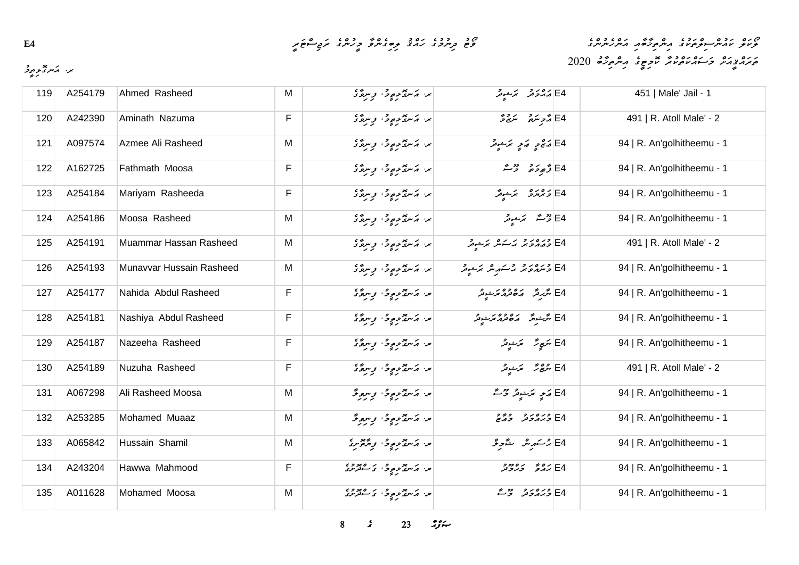*sCw7q7s5w7m< o<n9nOoAw7o< sCq;mAwBoEw7q<m; wBm;vB* م من المرة المرة المرة المرجع المرجع في المركبة 2020<br>مجم*د المريض المربوط المربع المرجع في المراجع المركبة* 

| 119 | A254179 | Ahmed Rasheed            | M           | برا مستوجع والرهمى                                | E4 كەبرى كى سىر سىر تىر                           | 451   Male' Jail - 1       |
|-----|---------|--------------------------|-------------|---------------------------------------------------|---------------------------------------------------|----------------------------|
| 120 | A242390 | Aminath Nazuma           | $\mathsf F$ | برا مكسي وجوء وسرة و                              | E4 أَمُّ حِسَنَةً مَسَى حَرَّ                     | 491   R. Atoll Male' - 2   |
| 121 | A097574 | Azmee Ali Rasheed        | M           | بر مستوجع وسرهم                                   | E4 <i>ھَنَّجْ جِ ھَيْ مَرْ</i> حْمِيْرُ           | 94   R. An'golhitheemu - 1 |
| 122 | A162725 | Fathmath Moosa           | $\mathsf F$ | برا مكسيوموجوا وسرهامي                            | E4 وَجِعْدَ حَقَّ مَحْ                            | 94   R. An'golhitheemu - 1 |
| 123 | A254184 | Mariyam Rasheeda         | F           | بر مستوجع وسرهم                                   | E4 كەنگەنگە كەن يىتى ئىش                          | 94   R. An'golhitheemu - 1 |
| 124 | A254186 | Moosa Rasheed            | M           | بر مستوجع و معدَّ                                 | E4 جي مگر مگر مقبولگر                             | 94   R. An'golhitheemu - 1 |
| 125 | A254191 | Muammar Hassan Rasheed   | M           | بر ، مستوجع و سره و                               | E4 <i>258.5 بۇ بۇسۇم</i> بۇيغونل                  | 491   R. Atoll Male' - 2   |
| 126 | A254193 | Munavvar Hussain Rasheed | M           | بر مستوجع و معدَّ                                 | E4 و روبر و و شهر شر مرشوتر                       | 94   R. An'golhitheemu - 1 |
| 127 | A254177 | Nahida Abdul Rasheed     | $\mathsf F$ | بر مستوجع و معدَّ                                 | E4 مَ <i>زْرِ مَدَّ مَا قَرْمْ بَرَ</i> سْبِرْتَر | 94   R. An'golhitheemu - 1 |
| 128 | A254181 | Nashiya Abdul Rasheed    | F           | بر مستوجع وسرهم                                   | E4 سَرَىشوش كەن <i>ھەترەر مَرْ</i> شوتر           | 94   R. An'golhitheemu - 1 |
| 129 | A254187 | Nazeeha Rasheed          | $\mathsf F$ | بر مستوجع و معدَّ                                 | E4 سَمِيرٌ سَمَسِيمٌ                              | 94   R. An'golhitheemu - 1 |
| 130 | A254189 | Nuzuha Rasheed           | F           | برا مكتربي وحواء والرهامي                         | E4 برچ ج محرجو پر                                 | 491   R. Atoll Male' - 2   |
| 131 | A067298 | Ali Rasheed Moosa        | M           | بر ، مکريموه و سره و ش                            | E4 كەي كەنچە قرام 2°                              | 94   R. An'golhitheemu - 1 |
| 132 | A253285 | Mohamed Muaaz            | M           | بر كەسكۈم ۋە رىبروگ                               | 535 3523 64                                       | 94   R. An'golhitheemu - 1 |
| 133 | A065842 | Hussain Shamil           | M           | بر كەسلام دەر ئەسىرى                              | E4 پُرسَمبر شَرْوِ وَ                             | 94   R. An'golhitheemu - 1 |
| 134 | A243204 | Hawwa Mahmood            | $\mathsf F$ | بر که سر ده و د کار مود و د<br>بر که سر ده ده د ا | E4 بَرْهُ حَمَّ وَبَرْوَتَرَ                      | 94   R. An'golhitheemu - 1 |
| 135 | A011628 | Mohamed Moosa            | M           | بر که سر د ده د د د د د د د د                     | $23.5555$ E4                                      | 94   R. An'golhitheemu - 1 |

**8** *s* **23** *z***<sub>***3***</sub>** *z***<sub>3</sub>**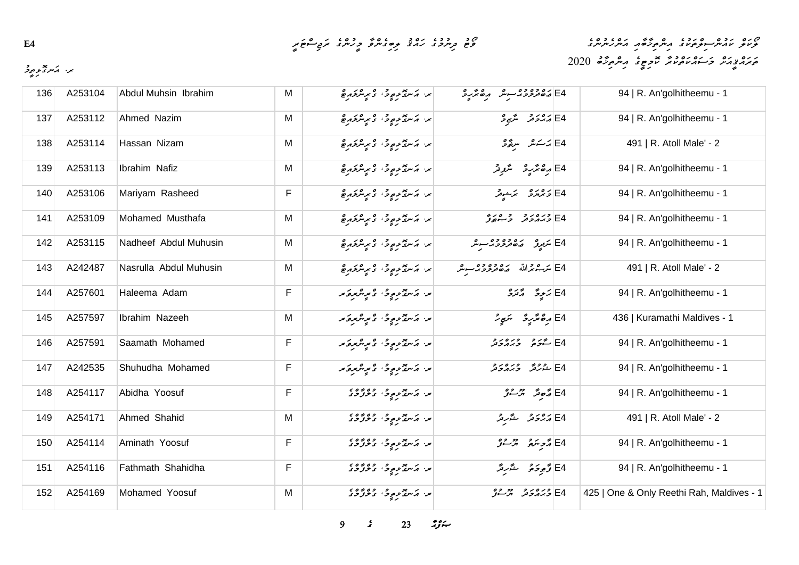*sCw7q7s5w7m< o<n9nOoAw7o< sCq;mAwBoEw7q<m; wBm;vB* م من المرة المرة المرة المرجع المرجع في المركبة 2020<br>مجم*د المريض المربوط المربع المرجع في المراجع المركبة* 

|     | $\rightarrow$ $\times$ $\times$ |  |  |
|-----|---------------------------------|--|--|
|     | ىر. برسرى و موجر                |  |  |
| s 1 |                                 |  |  |

| 136 | A253104 | Abdul Muhsin Ibrahim   | M           | ىن مەسىر موجى، ئىم مەردە ھ                                             | E4 בטיניברי ביית השיני <sub>ד</sub> ל                                                                | 94   R. An'golhitheemu - 1                |
|-----|---------|------------------------|-------------|------------------------------------------------------------------------|------------------------------------------------------------------------------------------------------|-------------------------------------------|
| 137 | A253112 | Ahmed Nazim            | M           | برا مستوجع المحي المتعادي                                              | E4 كەش <sup>ى</sup> تەرقىر سى <i>گى</i> بى                                                           | 94   R. An'golhitheemu - 1                |
| 138 | A253114 | Hassan Nizam           | M           | بر كاستخرمود ، ومر شركه مع                                             | E4   يَرْسَدُ مِنْ مِنْ مِنْ مِنْ                                                                    | 491   R. Atoll Male' - 2                  |
| 139 | A253113 | Ibrahim Nafiz          | M           | برا كاستخرموها المحامر محمد والمحركة                                   | E4 مەھەرى ھەر ئىگىلىنى ئىككىتىكى بىر ئىككىت بىر ئىككىت بىر ئىككىت بىر ئىككىت بىر ئىككىت بىر ئىككىت ب | 94   R. An'golhitheemu - 1                |
| 140 | A253106 | Mariyam Rasheed        | F           | برا مستوجع والمحي محمدة                                                | E4 كى <i>بىر بىر بىر بىر بىر</i>                                                                     | 94   R. An'golhitheemu - 1                |
| 141 | A253109 | Mohamed Musthafa       | M           | بر كەسكرىمى ئىس ئىر ئىرىدىكى ئ                                         | E4 32022 و 2010                                                                                      | 94   R. An'golhitheemu - 1                |
| 142 | A253115 | Nadheef Abdul Muhusin  | M           | بر كاستوج و و مر مركز و ع                                              | E4 سَمِيرِ وَصَحَّدَ حَدِيثِ حَسَّرَةِ مِسَرِّسِينَ الْمَسَرِّينَ مِسَرِّينَ الْمُسَرِّينَ مِسَرِّين | 94   R. An'golhitheemu - 1                |
| 143 | A242487 | Nasrulla Abdul Muhusin | M           | من مسكوم وه و محمد مسترجع الله عليه الله مستقرر من الله مستقرر من الله | E4 سَرَبْ مِمْراللَّهُ صَحْفَرْ حَرْجَتْ سَعْبَرْ حَسَنَ مِنْ                                        | 491   R. Atoll Male' - 2                  |
| 144 | A257601 | Haleema Adam           | $\mathsf F$ | برا مستوجع والمستهورة                                                  | E4 كرود محمدة و                                                                                      | 94   R. An'golhitheemu - 1                |
| 145 | A257597 | Ibrahim Nazeeh         | M           | برا مستوجع والمحبوشروند                                                | E4 م <i>وڭ ترى تىم چ</i> ر                                                                           | 436   Kuramathi Maldives - 1              |
| 146 | A257591 | Saamath Mohamed        | $\mathsf F$ | برا مستوجع والمحبوشروب                                                 | E4 جوړ وره دو                                                                                        | 94   R. An'golhitheemu - 1                |
| 147 | A242535 | Shuhudha Mohamed       | $\mathsf F$ | ىن مەسكىرىمۇق كەيرىكرىمى ئىر                                           | E4 شەرىئر بەرەر دىر                                                                                  | 94   R. An'golhitheemu - 1                |
| 148 | A254117 | Abidha Yoosuf          | F           | بر که سر ده وه وه وه<br>بر که سر ده ده و دو د                          | E4 مُصِعَرُ مَرْ <i>- وَ</i> مُ                                                                      | 94   R. An'golhitheemu - 1                |
| 149 | A254171 | Ahmed Shahid           | M           | بر کرسی ده وه وه وه<br>بر کرسی ده و وی د فروگر                         | E4 كەبرى قىرىتى كىلىمىتىسى بىر                                                                       | 491   R. Atoll Male' - 2                  |
| 150 | A254114 | Aminath Yoosuf         | F           | بر که پو <sub>ه و وه</sub> وه وه                                       | E4 أَمَّ حِ سَمَّعَ مِنْ مَسْتَرَكَّر                                                                | 94   R. An'golhitheemu - 1                |
| 151 | A254116 | Fathmath Shahidha      | $\mathsf F$ | بر کم سی ده وه وه وه<br>بر کم سرد ده و و و و د                         | E4 وَجِعَة حَمَّرِيْتَر                                                                              | 94   R. An'golhitheemu - 1                |
| 152 | A254169 | Mohamed Yoosuf         | M           | بر كەسلام تەرەپ دە بەر                                                 | E4 32,322 مركز                                                                                       | 425   One & Only Reethi Rah, Maldives - 1 |

*9 s* 23 *i*<sub>S</sub> $\approx$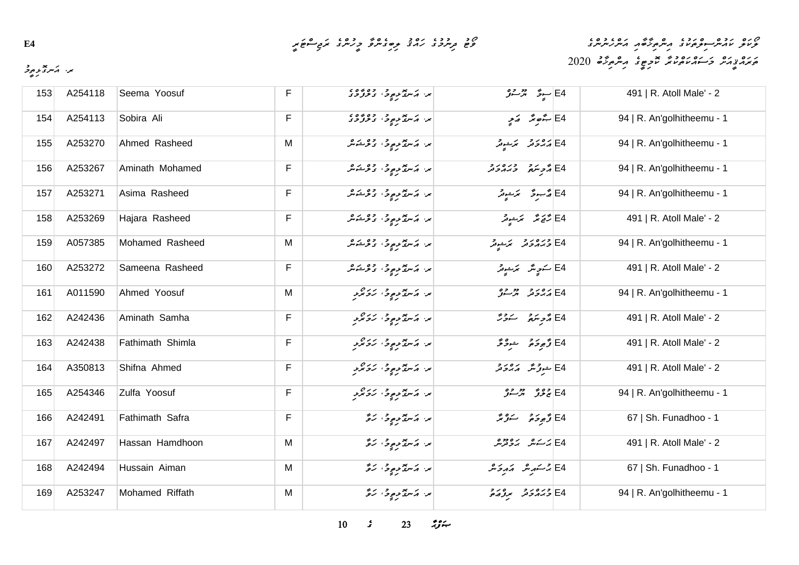*sCw7q7s5w7m< o<n9nOoAw7o< sCq;mAwBoEw7q<m; wBm;vB* م من المرة المرة المرة المرجع المرجع في المركبة 2020<br>مجم*د المريض المربوط المربع المرجع في المراجع المركبة* 

|     | , , ,             |  |
|-----|-------------------|--|
|     | بر. برسری عرصی فر |  |
| s 1 |                   |  |

| 153 | A254118 | Seema Yoosuf     | $\mathsf{F}$ | بر ، كاستخرم و ، المواده و ، | E4 ہو پہنچ پیشنز                         | 491   R. Atoll Male' - 2   |
|-----|---------|------------------|--------------|------------------------------|------------------------------------------|----------------------------|
| 154 | A254113 | Sobira Ali       | F            | بر که سره وه وه وه وه        | E4 شەھ ئەم                               | 94   R. An'golhitheemu - 1 |
| 155 | A253270 | Ahmed Rasheed    | M            | ىن كەسكەن يەم قاھرىشكەش      | E4 كەبرى كىم كىم ئىسىمىتى كىشىمىتىكى كىل | 94   R. An'golhitheemu - 1 |
| 156 | A253267 | Aminath Mohamed  | F            | ىن كەسكەن يەھ كەشكەش         | E4 مُجِسَعِ حَمَدَ مَعَ                  | 94   R. An'golhitheemu - 1 |
| 157 | A253271 | Asima Rasheed    | F            | ىن كەسكەنچەق، كەنچەشكە       | E4 مُحْسِدةٌ مَحْسِنِيْنَ                | 94   R. An'golhitheemu - 1 |
| 158 | A253269 | Hajara Rasheed   | $\mathsf F$  | ىر. ئەسكەنبەق، ئەترىشەش      | E4 كَرْبَحْ مَمْ سَمَسْوِيْرُ            | 491   R. Atoll Male' - 2   |
| 159 | A057385 | Mohamed Rasheed  | M            | ىن كەسكەن يەق كەنت ئىش       | E4 <i>32828 بَرَحْدِيرٌ</i>              | 94   R. An'golhitheemu - 1 |
| 160 | A253272 | Sameena Rasheed  | $\mathsf F$  | ىن كەسكەن يەق كەنت ئىش       | E4 کوچسٹر کرشونڈ                         | 491   R. Atoll Male' - 2   |
| 161 | A011590 | Ahmed Yoosuf     | M            | برا مكس وهوها الكرامي        | E4 كەبرى قىر تەرجى                       | 94   R. An'golhitheemu - 1 |
| 162 | A242436 | Aminath Samha    | $\mathsf{F}$ | برا مكسيح وهوقا الكرامي      | E4 أَمَّ حِسَنَ مِنْ سَنَرْسٌ            | 491   R. Atoll Male' - 2   |
| 163 | A242438 | Fathimath Shimla | $\mathsf{F}$ | برا مكتربولوجي كركرمو        | E4 تَ <i>وْجِوَة</i> شِوْدَةَ            | 491   R. Atoll Male' - 2   |
| 164 | A350813 | Shifna Ahmed     | F            | برا مستوجع والمتحرمو         | E4 شوژنگر بر در د                        | 491   R. Atoll Male' - 2   |
| 165 | A254346 | Zulfa Yoosuf     | F            | برا مستوجع أكركرهم           | E4 يحرق ترجيح                            | 94   R. An'golhitheemu - 1 |
| 166 | A242491 | Fathimath Safra  | $\mathsf{F}$ | ىن مەسكە دەۋ، ئەڭ            | E4 رَّجْوِحَةْ سَوَرْتَمْهُ              | 67   Sh. Funadhoo - 1      |
| 167 | A242497 | Hassan Hamdhoon  | M            | ىن مەسكە دەۋە ئەڭ            | E4   يُركبش   يَرْوَثِرْسُ               | 491   R. Atoll Male' - 2   |
| 168 | A242494 | Hussain Aiman    | M            | ىن مەسكەن بەق ئەڭ            | E4 يُرْسَمَّ مِهْ مَهْرِ حَسَّرَ         | 67   Sh. Funadhoo - 1      |
| 169 | A253247 | Mohamed Riffath  | M            | بر. مَسْكَرُوهِ فَ رَوْ      | E4 32025 برورد و                         | 94   R. An'golhitheemu - 1 |

 $10$  *s*  $23$  *n***<sub>s</sub>** $\frac{2}{5}$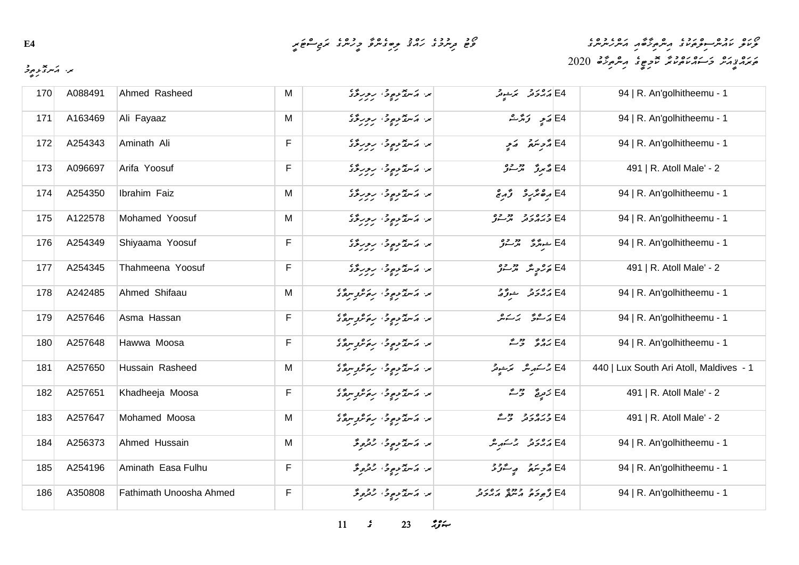*sCw7q7s5w7m< o<n9nOoAw7o< sCq;mAwBoEw7q<m; wBm;vB* م من المرة المرة المرة المرجع المرجع في المركبة 2020<br>مجم*د المريض المربوط المربع المرجع في المراجع المركبة* 

|     | , x ,             |  |  |
|-----|-------------------|--|--|
|     | بر. برسری عرصی فر |  |  |
| . . |                   |  |  |

| 170 | A088491 | Ahmed Rasheed           | M           | ىر. مەس <i>تەرەپى رورىۋ</i> ؟  | /E4   كەبۇر كىم ئىر ئىس قىر        | 94   R. An'golhitheemu - 1              |
|-----|---------|-------------------------|-------------|--------------------------------|------------------------------------|-----------------------------------------|
| 171 | A163469 | Ali Fayaaz              | M           | بر ، كەسلام دەر كەن ئەر        | E4 كەير   تەنگەشە                  | 94   R. An'golhitheemu - 1              |
| 172 | A254343 | Aminath Ali             | $\mathsf F$ | برا مُسْتَوْمٍ وَالْرَمْرُوْمُ | E4 مُجرِسَعُہ صَعِ                 | 94   R. An'golhitheemu - 1              |
| 173 | A096697 | Arifa Yoosuf            | $\mathsf F$ | برا مُسْتَوْمٍ وَالْرَمْرُوْمُ | E4 گەبىر تەرىخى تۈ                 | 491   R. Atoll Male' - 2                |
| 174 | A254350 | Ibrahim Faiz            | M           | بر ، مسيح ده د کرد ورځو        | E4 مەھمىر ئۇم تۇم                  | 94   R. An'golhitheemu - 1              |
| 175 | A122578 | Mohamed Yoosuf          | M           | برا مُسْتَوْمٍ وَالْرَمْرُوْمَ | E4 32,023 E4 وه                    | 94   R. An'golhitheemu - 1              |
| 176 | A254349 | Shiyaama Yoosuf         | $\mathsf F$ | برا مُسْتَوْمٍ وَالْرَمْرُوْمَ | E4 شەھرىتر تەرىپىتىر               | 94   R. An'golhitheemu - 1              |
| 177 | A254345 | Thahmeena Yoosuf        | $\mathsf F$ | برا مُسْتَوْمٍ وَالْرَمْرُوْمَ | E4 <sub>م</sub> حرم حيثر مرسومو    | 491   R. Atoll Male' - 2                |
| 178 | A242485 | Ahmed Shifaau           | M           | بر ، مُسجّره و من مور سره د    | E4 كەندى كى ئىبەر ئىچە ئىسى 25 كىل | 94   R. An'golhitheemu - 1              |
| 179 | A257646 | Asma Hassan             | $\mathsf F$ | ىن مەسكەرمۇق سەكىرىسىدە        | E4 كەشىرى كە <i>سكەنل</i>          | 94   R. An'golhitheemu - 1              |
| 180 | A257648 | Hawwa Moosa             | $\mathsf F$ | ىن ئەسكەن بۇ ئەر ئۇر بىر ئەنج  | 23 32 54                           | 94   R. An'golhitheemu - 1              |
| 181 | A257650 | Hussain Rasheed         | M           | ىن مەسكەرمۇق سۇرىر سرەتمى      | E4 پُرڪوپر ڪرشونگر                 | 440   Lux South Ari Atoll, Maldives - 1 |
| 182 | A257651 | Khadheeja Moosa         | $\mathsf F$ | ىر. مەسكەرمۇق، سەكەر سەڭ ك     | E4 كَتَامِيعٌ مَنْ صَبَّرٌ E4      | 491   R. Atoll Male' - 2                |
| 183 | A257647 | Mohamed Moosa           | M           | ىن مەسكەرەپى سەكروسۇق          | E4 دېرونه و                        | 491   R. Atoll Male' - 2                |
| 184 | A256373 | Ahmed Hussain           | M           | بر ، مستوج في رقوع گ           | E4 كەبرى بىر بەسكەر بىر            | 94   R. An'golhitheemu - 1              |
| 185 | A254196 | Aminath Easa Fulhu      | $\mathsf F$ | بر ، مستوج في رقوعة            |                                    | 94   R. An'golhitheemu - 1              |
| 186 | A350808 | Fathimath Unoosha Ahmed | F           | ىر. مەسكەنومۇق، ئەترەپۇ        | E4 رُجوحه مشهٌ مَدومر              | 94   R. An'golhitheemu - 1              |

 $11$  *s* 23  $23$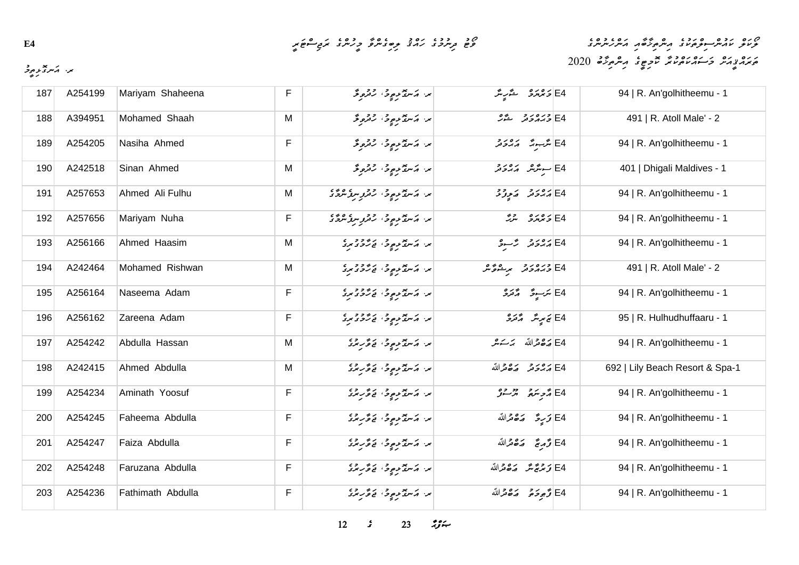*sCw7q7s5w7m< o<n9nOoAw7o< sCq;mAwBoEw7q<m; wBm;vB* م من المرة المرة المرة المرجع المرجع في المركبة 2020<br>مجم*د المريض المربوط المربع المرجع في المراجع المركبة* 

|     | , x ,             |  |  |
|-----|-------------------|--|--|
|     | بر. برسری عرصی فر |  |  |
| . . |                   |  |  |

| 187 | A254199 | Mariyam Shaheena  | F           | ىر. ئ <i>ەستەرەپەدى ش</i> ۇرۇ ئ                               | E4 كەنگەر ئىگە <i>بەنگ</i> ە          | 94   R. An'golhitheemu - 1      |
|-----|---------|-------------------|-------------|---------------------------------------------------------------|---------------------------------------|---------------------------------|
| 188 | A394951 | Mohamed Shaah     | M           | ىر. مەسكەنومۇق، ئەقرەپۇ                                       | E4 وبروتر حدٌ 2                       | 491   R. Atoll Male' - 2        |
| 189 | A254205 | Nasiha Ahmed      | $\mathsf F$ | ىن مەسكەبومۇ، ئەترەپمۇ                                        | E4 سَرْسِدِيَّة مَدَوَمَّر            | 94   R. An'golhitheemu - 1      |
| 190 | A242518 | Sinan Ahmed       | M           | ىن مەسكەبومۇ، ئەترەپۇ                                         | E4 سېنگرىقر كەندى تەر                 | 401   Dhigali Maldives - 1      |
| 191 | A257653 | Ahmed Ali Fulhu   | M           | ىر. ئەستەرەپەت، شەرىپ سىرتىرى<br>س. ئەستەرەپەت، شەرىپ سىرتىرى | E4 <i>جَهُدُوَ جَمْ جَوَدْ لَمْ</i>   | 94   R. An'golhitheemu - 1      |
| 192 | A257656 | Mariyam Nuha      | $\mathsf F$ | بر كەسكەن بەق رەر بەر بەر ب                                   | E4 <i>وَ بُرْمَرْ بِهِ مُرْدُّ</i>    | 94   R. An'golhitheemu - 1      |
| 193 | A256166 | Ahmed Haasim      | M           | بر كەسلام بولى ئەر ئەر ئاللار                                 | E4 كەبۇر مىشەر ئەسىرى                 | 94   R. An'golhitheemu - 1      |
| 194 | A242464 | Mohamed Rishwan   | M           | بر كەسلام بوڭ ئەردىسى                                         | E4 32025 مرشو <i>م</i> ش              | 491   R. Atoll Male' - 2        |
| 195 | A256164 | Naseema Adam      | $\mathsf F$ | بر که مربوح کرد د د<br>بر که مربوح کرد د برد                  | E4 سَرَسِوتٌ مُرْتَدَةٌ.              | 94   R. An'golhitheemu - 1      |
| 196 | A256162 | Zareena Adam      | F           | المن المستعرفي والمتحركة والمحمدة                             | E4 کے مریمًر گرم <i>گرم</i> و         | 95   R. Hulhudhuffaaru - 1      |
| 197 | A254242 | Abdulla Hassan    | M           | بر كەسلام دە ئەكەر دە                                         | E4 مَەمْراللە ئەسكەش                  | 94   R. An'golhitheemu - 1      |
| 198 | A242415 | Ahmed Abdulla     | M           | بر ، كەس بول دە ئە ئەر بىرى                                   | E4 <i>مَدْوَمْن مَ</i> هْمَرْاللّه    | 692   Lily Beach Resort & Spa-1 |
| 199 | A254234 | Aminath Yoosuf    | $\mathsf F$ | بر كەس بور ئە ئەر بور                                         | E4 أَمُّ حِ مَعْهُمْ مِنْ الرَّسْوَرُ | 94   R. An'golhitheemu - 1      |
| 200 | A254245 | Faheema Abdulla   | $\mathsf F$ | بر ، كەس بول دە ئە ئەر بىرى                                   | E4 وَرِدَّ صَدَّدَاللّه               | 94   R. An'golhitheemu - 1      |
| 201 | A254247 | Faiza Abdulla     | $\mathsf F$ | بر كمستوج في ولادة                                            | E4 قَرْمِيحٌ صَرَّةَ صَدَاللَّه       | 94   R. An'golhitheemu - 1      |
| 202 | A254248 | Faruzana Abdulla  | $\mathsf F$ | بر كەسلام دە ئەكەر دە                                         | E4 وَيَمْتَمْ مَنْ صَدْرَاللّه        | 94   R. An'golhitheemu - 1      |
| 203 | A254236 | Fathimath Abdulla | F           | بر كەس بورى ئەتەر دە                                          | E4 وَجِوَة صَدَّة مَدَاللَّه          | 94   R. An'golhitheemu - 1      |

 $12$  *s*  $23$  *n***<sub>s</sub>**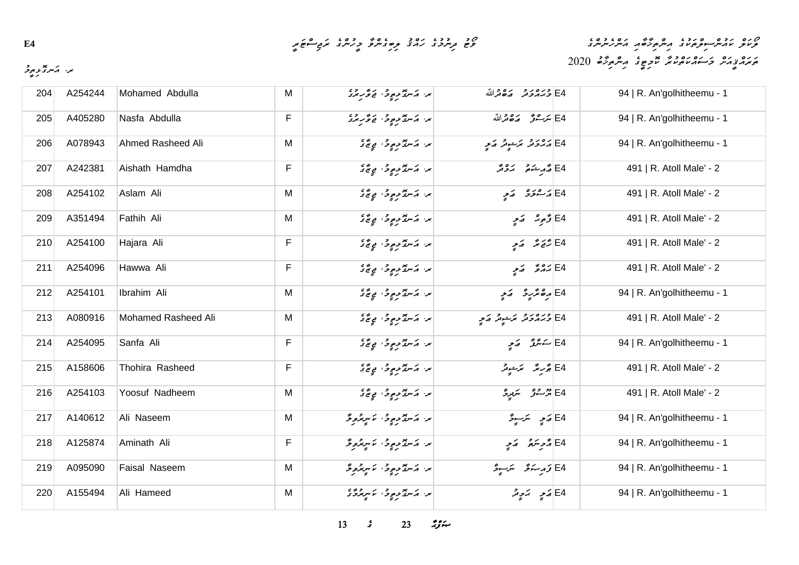*sCw7q7s5w7m< o<n9nOoAw7o< sCq;mAwBoEw7q<m; wBm;vB* م من المرة المرة المرة المرجع المرجع في المركبة 2020<br>مجم*د المريض المربوط المربع المرجع في المراجع المركبة* 

|     | , , ,          |  |  |
|-----|----------------|--|--|
|     | ىر. برسرى ىرەر |  |  |
| s 1 |                |  |  |

| 204 | A254244 | Mohamed Abdulla     | M            | بر ، مستوج و ، نام روی      | E4 32023 مَرْهُ قَدَاللّه                                                                                      | 94   R. An'golhitheemu - 1 |
|-----|---------|---------------------|--------------|-----------------------------|----------------------------------------------------------------------------------------------------------------|----------------------------|
| 205 | A405280 | Nasfa Abdulla       | $\mathsf F$  | بر ، مکس ده ده و ان در ده   | E4 تَتَرَّشْوَتْ صَرْحَةَ لِللَّه                                                                              | 94   R. An'golhitheemu - 1 |
| 206 | A078943 | Ahmed Rasheed Ali   | M            | بر ، كەستەرەرى، يېڭى ك      | E4 كەندى كىم كىيە كەي ئ                                                                                        | 94   R. An'golhitheemu - 1 |
| 207 | A242381 | Aishath Hamdha      | $\mathsf F$  | بر ، كەستەرەرى، يېڭى        | E4 مەم ئىم ئىمىسى E4                                                                                           | 491   R. Atoll Male' - 2   |
| 208 | A254102 | Aslam Ali           | M            | بر که سرگرموځ، ویکی         | E4 كەشقۇق كەم                                                                                                  | 491   R. Atoll Male' - 2   |
| 209 | A351494 | Fathih Ali          | M            | بر ، كەستەرەرى، يېڭى        | E4 وَموتہ صَعِ                                                                                                 | 491   R. Atoll Male' - 2   |
| 210 | A254100 | Hajara Ali          | F            | بر ، كەستەرەرى، يېڭى        | E4 حُيَمَة مَ مِ                                                                                               | 491   R. Atoll Male' - 2   |
| 211 | A254096 | Hawwa Ali           | $\mathsf{F}$ | بر که سرگرمونی او کار       | E4 كەبۇر كەب                                                                                                   | 491   R. Atoll Male' - 2   |
| 212 | A254101 | Ibrahim Ali         | M            | بر ، كەستەرەرى، يېڭى        | E4 ۾ <i>ھنگيز</i> و ڪيو                                                                                        | 94   R. An'golhitheemu - 1 |
| 213 | A080916 | Mohamed Rasheed Ali | M            | بر ، كەستەرەرى، يېڭى        | E4 وُيَرُوونَو يَرَشِينَر وَبِرِ                                                                               | 491   R. Atoll Male' - 2   |
| 214 | A254095 | Sanfa Ali           | $\mathsf{F}$ | بر کې مريد ده په ده کال     | E4 سەنىدۇ كەمبر                                                                                                | 94   R. An'golhitheemu - 1 |
| 215 | A158606 | Thohira Rasheed     | $\mathsf{F}$ | بر كەستەرەرى بېرى           | E4 ۾َربمَد بَرَ <sub>شو</sub> مَرُ                                                                             | 491   R. Atoll Male' - 2   |
| 216 | A254103 | Yoosuf Nadheem      | M            | بر ، كەستەرەپرى بېرى        | E4 پڑتے پر سربر محمد اللہ علم اللہ اللہ علم اللہ اللہ علم اللہ علم اللہ علم اللہ علم اللہ علم اللہ علم اللہ عل | 491   R. Atoll Male' - 2   |
| 217 | A140612 | Ali Naseem          | M            | ىن مەسكىرە دە ئاسىرىرە ئ    | E4 <i>جَرْمٍ</i> سَرَسِ <i>وڈ</i>                                                                              | 94   R. An'golhitheemu - 1 |
| 218 | A125874 | Aminath Ali         | $\mathsf{F}$ | ىن مەسكىرە دە ئاسىرىرە ئ    | E4 مُحرِسَمُ مَعٍ                                                                                              | 94   R. An'golhitheemu - 1 |
| 219 | A095090 | Faisal Naseem       | M            | بر مستوجع الأسيدوق          | E4 ق.م. يتوس التركيبيوني                                                                                       | 94   R. An'golhitheemu - 1 |
| 220 | A155494 | Ali Hameed          | M            | بر ، كاسلانومود ، كاسر چركه | E4 <i>۾ ڇپ پاچي</i> ه                                                                                          | 94   R. An'golhitheemu - 1 |

 $13$  *s*  $23$  *n***<sub>y</sub>**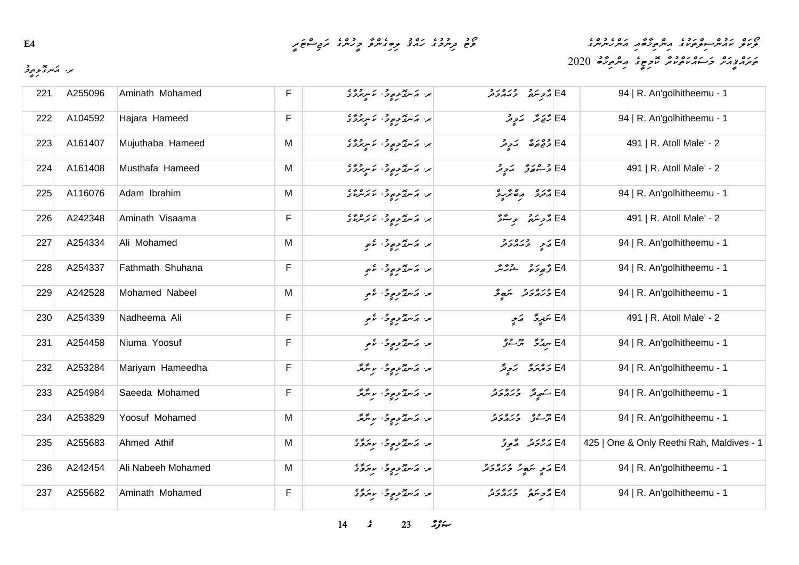*sCw7q7s5w7m< o<n9nOoAw7o< sCq;mAwBoEw7q<m; wBm;vB* م من المرة المرة المرة المرجع المرجع في المركبة 2020<br>مجم*د المريض المربوط المربع المرجع في المراجع المركبة* 

| ,   |                |  |
|-----|----------------|--|
|     | ىر. برسرى يوجو |  |
| s 1 |                |  |

| 221 | A255096 | Aminath Mohamed    | F           | ىر. مەسىر دەپرى <sup>3</sup> ، ئامېرىردى                     | E4 أَمُّ <i>جِسْمَةُ حَمْدُهُ حَ</i> دَّ | 94   R. An'golhitheemu - 1                |
|-----|---------|--------------------|-------------|--------------------------------------------------------------|------------------------------------------|-------------------------------------------|
| 222 | A104592 | Hajara Hameed      | $\mathsf F$ | ىن مەس <i>دە</i> رە، ئەس دەر                                 | E4 حُقے مگر بر برقہ                      | 94   R. An'golhitheemu - 1                |
| 223 | A161407 | Mujuthaba Hameed   | M           | بر كەسلام دە، ئاسلام دە                                      | E4ح ق م م م حرم حرم 2014                 | 491   R. Atoll Male' - 2                  |
| 224 | A161408 | Musthafa Hameed    | M           | بر كەسكىرە ئەر ئەس ئەرى                                      | E4 ترجيع تر برج تر                       | 491   R. Atoll Male' - 2                  |
| 225 | A116076 | Adam Ibrahim       | M           | بر كه سر ده در ۲۵ در ۲۵                                      | E4 جُمْعَرَ مِنْ جُمْرِدْ                | 94   R. An'golhitheemu - 1                |
| 226 | A242348 | Aminath Visaama    | F           | من مكس موجود الممكس من دار و دارد.<br>من مكس موجود الممكس من | E4 مُجِسَعُهُ وِسُمَعُ                   | 491   R. Atoll Male' - 2                  |
| 227 | A254334 | Ali Mohamed        | M           | بر ، كەستە دەپرى، ئام                                        | E4 <i>مَرِ وَبَهُ</i> وَمَرَ             | 94   R. An'golhitheemu - 1                |
| 228 | A254337 | Fathmath Shuhana   | F           | بر ، مَسجّره وقرا عامو                                       | E4 وَجِعَة صَدَّرْتَهُ                   | 94   R. An'golhitheemu - 1                |
| 229 | A242528 | Mohamed Nabeel     | M           | بر مسلم ده ده الم                                            | E4 3323 سَمِع مَ                         | 94   R. An'golhitheemu - 1                |
| 230 | A254339 | Nadheema Ali       | $\mathsf F$ | بر ، كەستەرەپە ئە ، ئام                                      | E4 سَمِرِیَّ – رَمِ                      | 491   R. Atoll Male' - 2                  |
| 231 | A254458 | Niuma Yoosuf       | F           | بر ، مَسجّره وقرا عامو                                       | E4 سرچ هر شرقر                           | 94   R. An'golhitheemu - 1                |
| 232 | A253284 | Mariyam Hameedha   | F           | ىن مەسىر دەۋ، بولىگە                                         | E4 <i>وَ بَرْمَرْ وَ بَرْحِ</i> تَرُ     | 94   R. An'golhitheemu - 1                |
| 233 | A254984 | Saeeda Mohamed     | $\mathsf F$ | ىن مەسىر دەۋ، باشگە                                          | E4 كىھەتىر ق <i>ەتمەدى</i> ر             | 94   R. An'golhitheemu - 1                |
| 234 | A253829 | Yoosuf Mohamed     | M           | ىن مەسىر دەۋ، باشگە                                          | E4 بر حوز حد در د                        | 94   R. An'golhitheemu - 1                |
| 235 | A255683 | Ahmed Athif        | M           | بر ، كاستوج في المرواة                                       | E4 كەشكەتقى ھەجوقر                       | 425   One & Only Reethi Rah, Maldives - 1 |
| 236 | A242454 | Ali Nabeeh Mohamed | M           | بر مستوجع الأمروج                                            | E4 كەبىي تى <i>كھەت 25مەم</i> رىر        | 94   R. An'golhitheemu - 1                |
| 237 | A255682 | Aminath Mohamed    | F           | بر كالبعوج الأرواح                                           | E4 مُتَّحِسَمُ حَمَدَ مَعَ               | 94   R. An'golhitheemu - 1                |

 $14$  *s* 23  $23$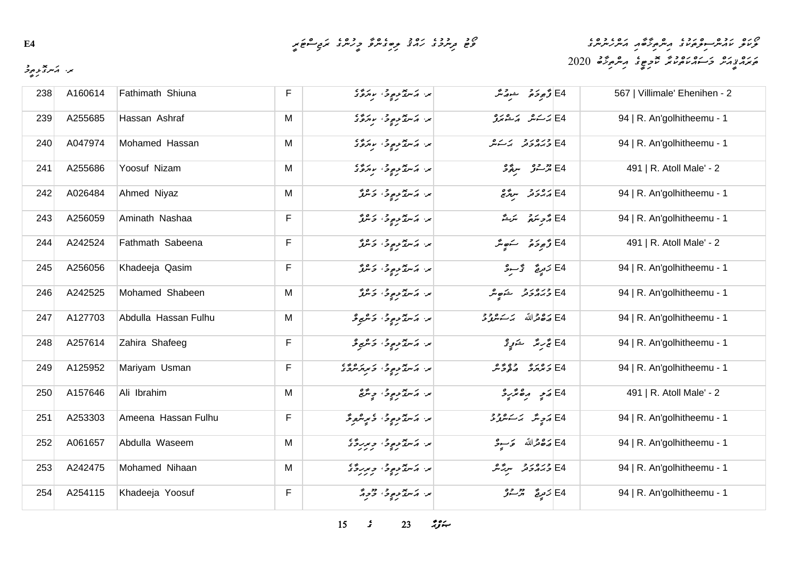*sCw7q7s5w7m< o<n9nOoAw7o< sCq;mAwBoEw7q<m; wBm;vB* م من المرة المرة المرة المرجع المرجع في المركبة 2020<br>مجم*د المريض المربوط المربع المرجع في المراجع المركبة* 

|     | $\rightarrow$ $\times$ $\times$ |  |
|-----|---------------------------------|--|
|     | ىر. برسرى ىر مى تر              |  |
| s 1 |                                 |  |

| 238 | A160614 | Fathimath Shiuna     | F           | بر كەسكىرە ئەر بەرگە                                | E4 <i>وَّجِوَدَة</i> شِيمَة مَّر         | 567   Villimale' Ehenihen - 2 |
|-----|---------|----------------------|-------------|-----------------------------------------------------|------------------------------------------|-------------------------------|
| 239 | A255685 | Hassan Ashraf        | M           | س مسلوم وه الأمري                                   | E4 ئەسىرىش مەھىر <i>ۇ</i>                | 94   R. An'golhitheemu - 1    |
| 240 | A047974 | Mohamed Hassan       | M           | بر ، كاستوج في المالون                              | E4 <i>وبرەدىر برخىش</i>                  | 94   R. An'golhitheemu - 1    |
| 241 | A255686 | Yoosuf Nizam         | M           | س مسلوم وه الأمري                                   | E4 ترقيق س <sub>ب</sub> مُج <sup>و</sup> | 491   R. Atoll Male' - 2      |
| 242 | A026484 | Ahmed Niyaz          | M           | أين أرسيم وجود وكالمحال                             | E4 كەبرى كىلەر سىرتىقى بىر               | 94   R. An'golhitheemu - 1    |
| 243 | A256059 | Aminath Nashaa       | $\mathsf F$ | برا مسيح وهودا الاس                                 | E4 مُرْحِ مَتَّعْدُ مَتَرَسَّدُ          | 94   R. An'golhitheemu - 1    |
| 244 | A242524 | Fathmath Sabeena     | $\mathsf F$ | برا مكان يومي والمحافظ                              | E4 تُرجوحَ مُحَمَّدٍ سُمَّةٍ مُتَّزِ     | 491   R. Atoll Male' - 2      |
| 245 | A256056 | Khadeeja Qasim       | $\mathsf F$ | ىن مەسلام بوڭ كەنلا                                 | E4 كَتَمِيعٌ - تَوْسِيحُ                 | 94   R. An'golhitheemu - 1    |
| 246 | A242525 | Mohamed Shabeen      | M           | ىن مەسىم دەپرە كەندىگە                              | E4 <i>وبروبر بن شومگ</i> ر               | 94   R. An'golhitheemu - 1    |
| 247 | A127703 | Abdulla Hassan Fulhu | M           | أين الاستخراج وحاكم والمرجوع                        | E4 مَصْعَرِ اللّه بَرَ سَعْدِ عَ         | 94   R. An'golhitheemu - 1    |
| 248 | A257614 | Zahira Shafeeg       | $\mathsf F$ | أين المستوجع وأركاه والمتعالي                       | E4 ئج پ <i>رنگ ڪو</i> پر                 | 94   R. An'golhitheemu - 1    |
| 249 | A125952 | Mariyam Usman        | $\mathsf F$ | من مكس وهي كالمراكب و دارد.<br>من مكس وجود كالمراكب | E4 كومرو ووومو                           | 94   R. An'golhitheemu - 1    |
| 250 | A157646 | Ali Ibrahim          | M           | ىر. مەسمەرەپوق، چەشھ                                | E4 <i>مَعٍ م</i> ِ صَمَّرِ وَ            | 491   R. Atoll Male' - 2      |
| 251 | A253303 | Ameena Hassan Fulhu  | $\mathsf F$ | ىر. مەسكىرموق، كەيپىلىرىگە                          | E4 كەچ ئىر كەشقەيدىنى <i>E4</i>          | 94   R. An'golhitheemu - 1    |
| 252 | A061657 | Abdulla Waseem       | M           | بر كەسلام دەر دىرىدۇ ئ                              | E4 مَرْحْمْدَاللّه عَرْبِوْتْر           | 94   R. An'golhitheemu - 1    |
| 253 | A242475 | Mohamed Nihaan       | M           | بر كاستوج وبرروى                                    | E4 <i>2222 سرگ</i> ش                     | 94   R. An'golhitheemu - 1    |
| 254 | A254115 | Khadeeja Yoosuf      | F           | بر. مُسْتَوْجِعُونَ وَوَمَّ                         | E4 كَتَعِيرةً مُتَرَّسِينً               | 94   R. An'golhitheemu - 1    |

 $15$  *s*  $23$  *n***<sub>s</sub>**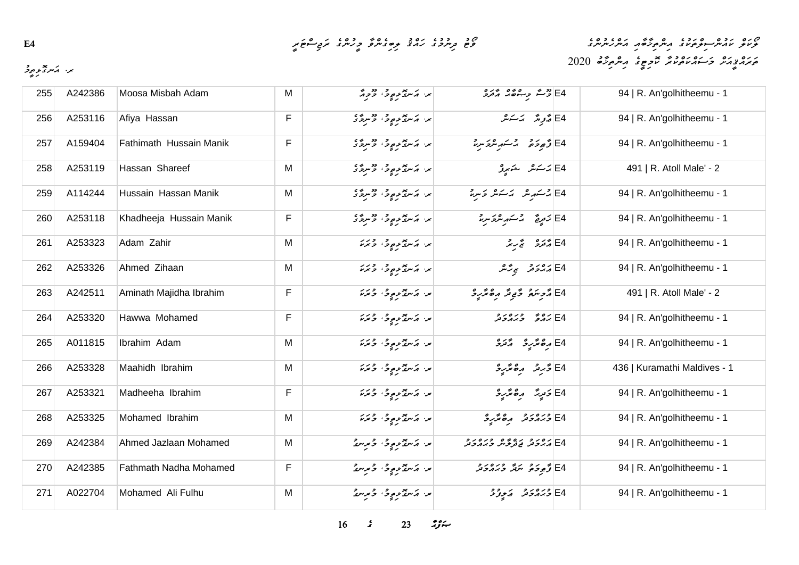*sCw7q7s5w7m< o<n9nOoAw7o< sCq;mAwBoEw7q<m; wBm;vB* م من المرة المرة المرة المرجع المرجع في المركبة 2020<br>مجم*د المريض المربوط المربع المرجع في المراجع المركبة* 

| ,   | $\mathbf{x}$ $\epsilon$ |  |
|-----|-------------------------|--|
|     | ىر. برسرى ىرەر          |  |
| s 1 |                         |  |

| 255 | A242386 | Moosa Misbah Adam       | M            | ىر. ئەستەرم <sub>ۇ</sub> چ، ق <sub>ا</sub> جەڭ | E4 ترقشہ <sub>ج</sub> ربی محمد محمدہ      | 94   R. An'golhitheemu - 1   |
|-----|---------|-------------------------|--------------|------------------------------------------------|-------------------------------------------|------------------------------|
| 256 | A253116 | Afiya Hassan            | $\mathsf F$  | بر مسيوم و «مردّى                              | E4 م <i>حتر مرگ بر ش</i> ک                | 94   R. An'golhitheemu - 1   |
| 257 | A159404 | Fathimath Hussain Manik | F            | بر كاستوج و المستردة                           | E4 زُھوچو پر سَورِ مُر تَر مِنْ           | 94   R. An'golhitheemu - 1   |
| 258 | A253119 | Hassan Shareef          | M            | بر كاستوج و المستردة                           | E4 بَرَسَہ شَمَعِ وَ                      | 491   R. Atoll Male' - 2     |
| 259 | A114244 | Hussain Hassan Manik    | M            | بر كمسيح ده و مسروع                            | E4 يُرْسَمْ مِيْرْ مَسْتَمْرْ وَسِرْءُ    | 94   R. An'golhitheemu - 1   |
| 260 | A253118 | Khadheeja Hussain Manik | $\mathsf{F}$ | بر كاستوج و المستردة                           | E4 كَتَعِيقٌ بِمُ سَمَّةٍ سَرْحَةٍ سِرْءٌ | 94   R. An'golhitheemu - 1   |
| 261 | A253323 | Adam Zahir              | M            | برا مستوجع والمحملة                            | E4 <i>مُحَدَّدُ</i> مُحَ سِعْر            | 94   R. An'golhitheemu - 1   |
| 262 | A253326 | Ahmed Zihaan            | M            | برا مستوجع والمحملة                            | E4 <i>222 ج گ</i> ش                       | 94   R. An'golhitheemu - 1   |
| 263 | A242511 | Aminath Majidha Ibrahim | $\mathsf F$  | برا مستوجع والمحملة                            | E4 مٌوِسَمَ دَّوْمَ مِرْهُ مَّرِدْ        | 491   R. Atoll Male' - 2     |
| 264 | A253320 | Hawwa Mohamed           | $\mathsf{F}$ | برا مستوجع والمحملة                            | E4 يَهُمُوَ حَيْثَهُ جَوَ                 | 94   R. An'golhitheemu - 1   |
| 265 | A011815 | Ibrahim Adam            | M            | بر كاستوج و ورز                                | E4 مەھمىر مەمەدە                          | 94   R. An'golhitheemu - 1   |
| 266 | A253328 | Maahidh Ibrahim         | M            | أأرا المستحموم وأوالا والمراكبة                | E4 در موھ پرو                             | 436   Kuramathi Maldives - 1 |
| 267 | A253321 | Madheeha Ibrahim        | $\mathsf{F}$ | برا مستوجع والمحملة                            | E4 دَمِيدٌ مِنْ حَمَدِ وَ                 | 94   R. An'golhitheemu - 1   |
| 268 | A253325 | Mohamed Ibrahim         | M            | بر كاستوروه وير                                | E4 درورو مقتربة                           | 94   R. An'golhitheemu - 1   |
| 269 | A242384 | Ahmed Jazlaan Mohamed   | M            | أأرا المستحق والمراجح المراسي                  | E4 رژور و ووژه ورورو                      | 94   R. An'golhitheemu - 1   |
| 270 | A242385 | Fathmath Nadha Mohamed  | $\mathsf F$  | أأرا المستحوم وكالمحارسة                       | E4 تُرجوحَ مَرَ بِهُمْ وَبَرْمُ وَبَرْ    | 94   R. An'golhitheemu - 1   |
| 271 | A022704 | Mohamed Ali Fulhu       | M            | ىر. م.سىمبومۇ، ئ <i>.م.</i> سىم                |                                           | 94   R. An'golhitheemu - 1   |

 $16$  *s* 23  $23$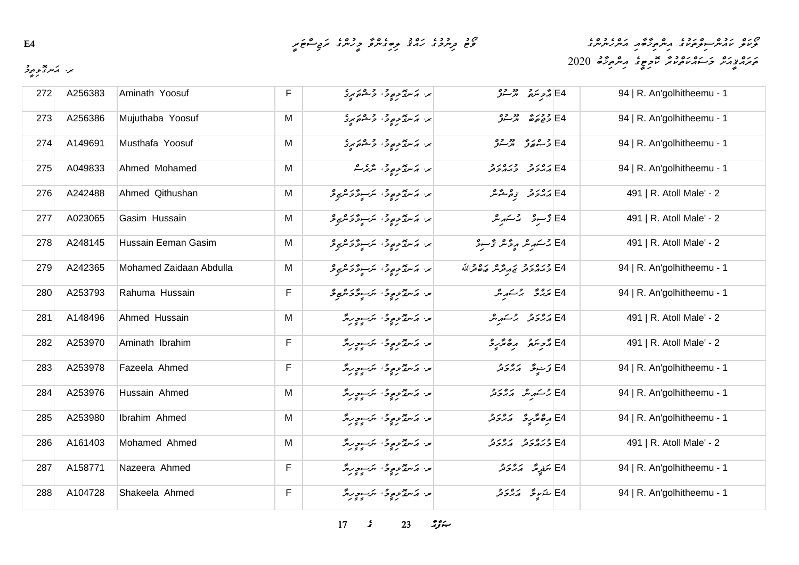*sCw7q7s5w7m< o<n9nOoAw7o< sCq;mAwBoEw7q<m; wBm;vB* م من المرة المرة المرة المرجع المرجع في المركبة 2020<br>مجم*د المريض المربوط المربع المرجع في المراجع المركبة* 

| 272 | A256383 | Aminath Yoosuf          | F | ىن مەستەرەپرى كەشھەپرى                         | E4 مُ <i>جِسَعْہ مُرْتَّسُوْ</i>      | 94   R. An'golhitheemu - 1 |
|-----|---------|-------------------------|---|------------------------------------------------|---------------------------------------|----------------------------|
| 273 | A256386 | Mujuthaba Yoosuf        | M | بر كاسطوج و و دور ،                            | E4ح <i>ح ح حرق</i> مرضوع ا            | 94   R. An'golhitheemu - 1 |
| 274 | A149691 | Musthafa Yoosuf         | M | بر كمسيوم و و و و د                            | E4 <sub>ح</sub> رم مربع مشروع و       | 94   R. An'golhitheemu - 1 |
| 275 | A049833 | Ahmed Mohamed           | M | ىن مەسمەرەمۇر، ئىگەن                           | E4 ג׳כ בג' כיב                        | 94   R. An'golhitheemu - 1 |
| 276 | A242488 | Ahmed Qithushan         | M | أين أرسيم وهود الكرسوة والكريونج               | E4 كەبرى تومۇشكە ئىسى E4              | 491   R. Atoll Male' - 2   |
| 277 | A023065 | Gasim Hussain           | M | يرا مستوجعة الكرسوقة واللهج                    | E4 تخ-وق - جر شهر مثر                 | 491   R. Atoll Male' - 2   |
| 278 | A248145 | Hussain Eeman Gasim     | M | برا م سرد ده وقرا سر سور و شرح و               | E4 يُرْسَمبِ شَر مِر رَّشْر تَرْسُورْ | 491   R. Atoll Male' - 2   |
| 279 | A242365 | Mohamed Zaidaan Abdulla | M | ألا المستوجعة الكرام والمتعالج                 | E4 <i>ورور و بر و و م</i> حد الله     | 94   R. An'golhitheemu - 1 |
| 280 | A253793 | Rahuma Hussain          | F | أين أرسيم برها أأراس وكالمراج والمراج والمستعم | E4 ترثرى ب <sub>ە</sub> شەرىئى        | 94   R. An'golhitheemu - 1 |
| 281 | A148496 | Ahmed Hussain           | M | أين أرسي وهود الكرسور الم                      | E4   مرور و محر محر مر                | 491   R. Atoll Male' - 2   |
| 282 | A253970 | Aminath Ibrahim         | F | ى: ג׳יעצעקב' ייצי-יבניות                       |                                       | 491   R. Atoll Male' - 2   |
| 283 | A253978 | Fazeela Ahmed           | F | ىر. ئەسكەن ئەھ ئەسىرى بەرگە                    | E4 تۇخىرى كەردى قىر                   | 94   R. An'golhitheemu - 1 |
| 284 | A253976 | Hussain Ahmed           | M | بر ، مسیح ده ده سرسور پر                       | E4 پر شمېر مه پر د تر                 | 94   R. An'golhitheemu - 1 |
| 285 | A253980 | Ibrahim Ahmed           | M | أين الأسرنج ويروث الكرسور الأ                  | E4 مەھەرىرى مەمەدىر                   | 94   R. An'golhitheemu - 1 |
| 286 | A161403 | Mohamed Ahmed           | M | ىر. مەسىر مەدەب سەسىرە رەڭر                    | E4 32023 كرەپروتر                     | 491   R. Atoll Male' - 2   |
| 287 | A158771 | Nazeera Ahmed           | F | ىمە ئەسكەرەتى، ئىزىسورىد                       | E4 سَندٍ بَرَ 195 مَدْ 195 مَد        | 94   R. An'golhitheemu - 1 |
| 288 | A104728 | Shakeela Ahmed          | F | ىن ئەسلام ۋە ئەسورىد                           | E4 شَرِيعٌ 4. مَدْحَمْد               | 94   R. An'golhitheemu - 1 |

 $17$  *s*  $23$   $23$ 

*q>pAo:uC7m< .8*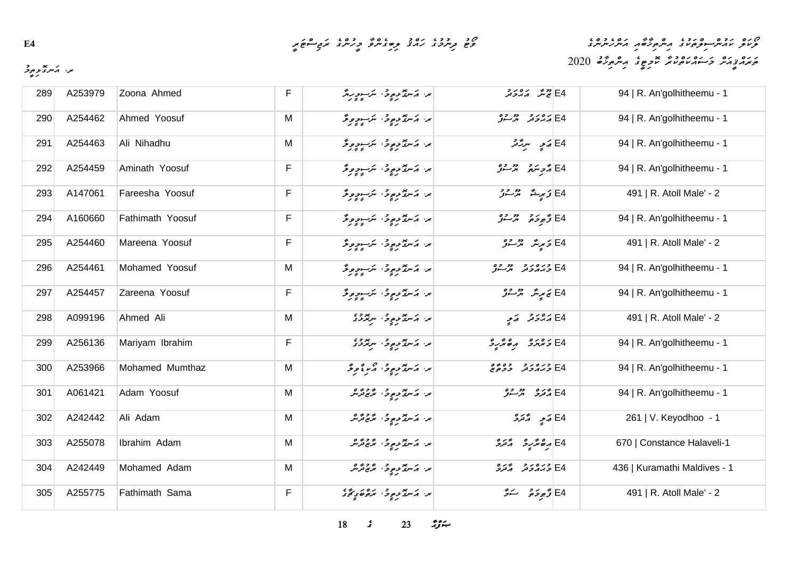*sCw7q7s5w7m< o<n9nOoAw7o< sCq;mAwBoEw7q<m; wBm;vB* م من المرة المرة المرة المرجع المرجع في المركبة 2020<br>مجم*د المريض المربوط المربع المرجع في المراجع المركبة* 

| 289 | A253979 | Zoona Ahmed      | F | ىر. مەسىر مەدەبە ئىرسو <i>ر مەڭ</i> | E4 تج تئر پر بر دیگر           | 94   R. An'golhitheemu - 1   |
|-----|---------|------------------|---|-------------------------------------|--------------------------------|------------------------------|
| 290 | A254462 | Ahmed Yoosuf     | M | ىر. مەسىر مەھ ئەسىر مەمۇ            | E4 كەبرى قىر بىر تەرىپى تو     | 94   R. An'golhitheemu - 1   |
| 291 | A254463 | Ali Nihadhu      | M | ىر. مەسىر مود، سەسىر مەنتى          | E4 کی میں میں میں تھی<br>ا     | 94   R. An'golhitheemu - 1   |
| 292 | A254459 | Aminath Yoosuf   | F | ىر. مەسىر مود، سەسىر موتۇ           | E4 مُجْرِسَهُ مِنْ مَنْ وَهِ   | 94   R. An'golhitheemu - 1   |
| 293 | A147061 | Fareesha Yoosuf  | F | ىن مەسىر مود، سەسىر بورگ            | E4 كۆمپىش تېرىشتى <sup>3</sup> | 491   R. Atoll Male' - 2     |
| 294 | A160660 | Fathimath Yoosuf | F | ىر. مەسىر مەدە سەسىر بەر ئ          | E4 رُجوحه مرسوم                | 94   R. An'golhitheemu - 1   |
| 295 | A254460 | Mareena Yoosuf   | F | ىر. مەسىر مەدە سەسىر بەرگە          | E4 كۈمپەنگر تېرىشۇ             | 491   R. Atoll Male' - 2     |
| 296 | A254461 | Mohamed Yoosuf   | M | ىر. مەسىر مود، سەسىر مەنتى          | E4 3232 مرسور<br>E4            | 94   R. An'golhitheemu - 1   |
| 297 | A254457 | Zareena Yoosuf   | F | ىن مەسىر مود، سەسىر بورگ            | E4 کی مریٹر گرمشنز             | 94   R. An'golhitheemu - 1   |
| 298 | A099196 | Ahmed Ali        | M | بر كەسكەن بەر بولۇرى                | E4 كەنزى قىمى قىلىپ قىلىپ ئىل  | 491   R. Atoll Male' - 2     |
| 299 | A256136 | Mariyam Ibrahim  | F | بر كەسكەن بەر بولۇرى                | E4 كرمرمز مقتررة               | 94   R. An'golhitheemu - 1   |
| 300 | A253966 | Mohamed Mumthaz  | M | بر ، مُسْتَوْمِودُ ، مُسْءُودٌ      | E4 37073 E4 ده وه              | 94   R. An'golhitheemu - 1   |
| 301 | A061421 | Adam Yoosuf      | M | ىن مەسىر مورى ئۇي قرىل              | E4 جُرُو بِرْ وَهِ             | 94   R. An'golhitheemu - 1   |
| 302 | A242442 | Ali Adam         | M | ىن مەسىر بولۇق ئۇلچەترىش            | E4 ک <sup>ے</sup> محمد محمد ال | 261   V. Keyodhoo - 1        |
| 303 | A255078 | Ibrahim Adam     | M | ىن مەسىر بولۇپ ئۇي قرىش             | E4 مەھمىر مەمەر E4             | 670   Constance Halaveli-1   |
| 304 | A242449 | Mohamed Adam     | M | ىن مەسمە بومۇ، ئۇچ قرىش             | E4 32923 E4                    | 436   Kuramathi Maldives - 1 |
| 305 | A255775 | Fathimath Sama   | F | بر كەسلام بولى، ئۇھ ئەتەرى          | E4 وَجِودَة سَدَّةَ            | 491   R. Atoll Male' - 2     |

 $18$  *s* 23  $23$  *n*<sub>y</sub>

*q>pAo:uC7m< .8*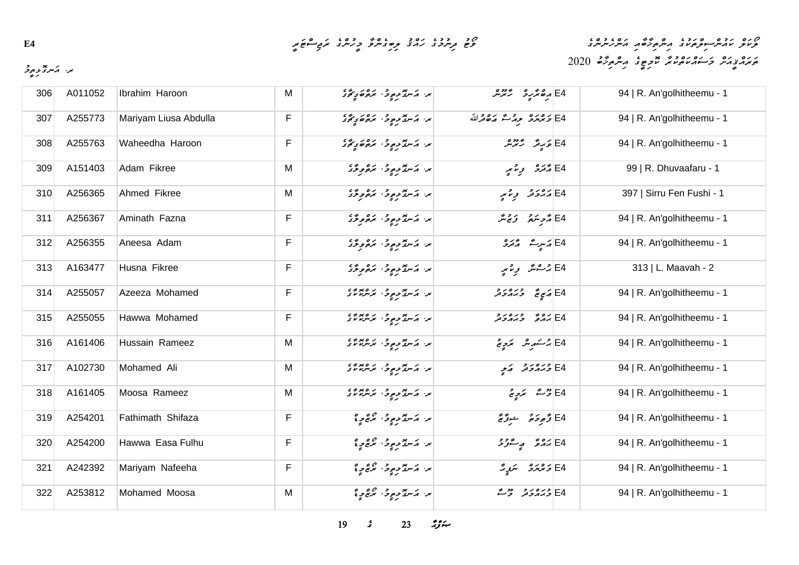*sCw7q7s5w7m< o<n9nOoAw7o< sCq;mAwBoEw7q<m; wBm;vB* م من المرة المرة المرة المرجع المرجع في المركبة 2020<br>مجم*د المريض المربوط المربع المرجع في المراجع المركبة* 

|     | , x ,             |  |  |
|-----|-------------------|--|--|
|     | بر. برسری عرصی فر |  |  |
| . . |                   |  |  |

| 306 | A011052 | Ibrahim Haroon        | M            | بر كەسكىرە دەر ئەھ ئەلگە                 | E4 مەھەر بەر ئەمەس                      | 94   R. An'golhitheemu - 1 |
|-----|---------|-----------------------|--------------|------------------------------------------|-----------------------------------------|----------------------------|
| 307 | A255773 | Mariyam Liusa Abdulla | $\mathsf F$  | ر مسيح مع و معدد ده.<br>مستعدد مسيح      | E4 <i>5 بحر مرقر حرق من 15 بول</i> الله | 94   R. An'golhitheemu - 1 |
| 308 | A255763 | Waheedha Haroon       | F            | من مستوج و مره و مورد                    | E4 كوبيرنگر گرمبرنگر                    | 94   R. An'golhitheemu - 1 |
| 309 | A151403 | Adam Fikree           | M            | بر كەسلام بوق ئەھ بولى                   | E4 مُرْمَرْدَ وِتِمْسِي                 | 99   R. Dhuvaafaru - 1     |
| 310 | A256365 | Ahmed Fikree          | M            | بر كەسلام بولى بىرە ئۆت                  | E4 رَيْرْدَتْرَ وِتَ <sub>اتِمِي</sub>  | 397   Sirru Fen Fushi - 1  |
| 311 | A256367 | Aminath Fazna         | $\mathsf F$  | بر كەسلام بولى بىرە ئۆت                  | E4 مُجِسَع <sub>ة</sub> وَتح <b>سَّ</b> | 94   R. An'golhitheemu - 1 |
| 312 | A256355 | Aneesa Adam           | F            | بر ، مستوجع و ، مهوج د ،                 | E4 كەسرىسە مەمەرتى                      | 94   R. An'golhitheemu - 1 |
| 313 | A163477 | Husna Fikree          | F            | بر كەسلام بولى برە بۇلا                  | E4 پر شهر و پر مبر                      | 313   L. Maavah - 2        |
| 314 | A255057 | Azeeza Mohamed        | $\mathsf F$  | من كەس بول <sub>ۇ</sub> لى كەن بەل ئالار | E4 בَبِيءَ وَيَرْمُدَتَرُ               | 94   R. An'golhitheemu - 1 |
| 315 | A255055 | Hawwa Mohamed         | $\mathsf{F}$ | س كەسكە بول كەرەپدە »                    | E4 يَهُمَّ حِيهُ وَمَ                   | 94   R. An'golhitheemu - 1 |
| 316 | A161406 | Hussain Rameez        | M            | بر كه سر ده بر ٢٥ ده.                    | E4 بر <i>شهر مر<sub>و</sub>بع</i>       | 94   R. An'golhitheemu - 1 |
| 317 | A102730 | Mohamed Ali           | M            | من كەس بول <sub>ۇ</sub> لى كەن بەل ئالار | E4 ديرورو ک <i>ړي</i>                   | 94   R. An'golhitheemu - 1 |
| 318 | A161405 | Moosa Rameez          | M            | بر كەس بور.<br>بر كەس بورگا ئەس بولار    | E4 تخريج تمر <i>وي</i>                  | 94   R. An'golhitheemu - 1 |
| 319 | A254201 | Fathimath Shifaza     | $\mathsf F$  | بر ، كەسكە بوھى ، ئۇنج ج                 | E4 وَجِعَةٍ صَوَّرَةٍ                   | 94   R. An'golhitheemu - 1 |
| 320 | A254200 | Hawwa Easa Fulhu      | $\mathsf{F}$ | أمرا وكالمعموم ومحالج والملج ويالا       | E4 پروی پرسوی                           | 94   R. An'golhitheemu - 1 |
| 321 | A242392 | Mariyam Nafeeha       | $\mathsf F$  | بر ، كەسكە بولۇق بولۇم توپا              | E4 كەممەر 2 س <i>ىرى</i> گە             | 94   R. An'golhitheemu - 1 |
| 322 | A253812 | Mohamed Moosa         | M            | ىن مەسىر مود <sup>0</sup> مەج دە         | $23.22$ $E4$                            | 94   R. An'golhitheemu - 1 |

*19 s* 23 *i*<sub>S</sub> $\approx$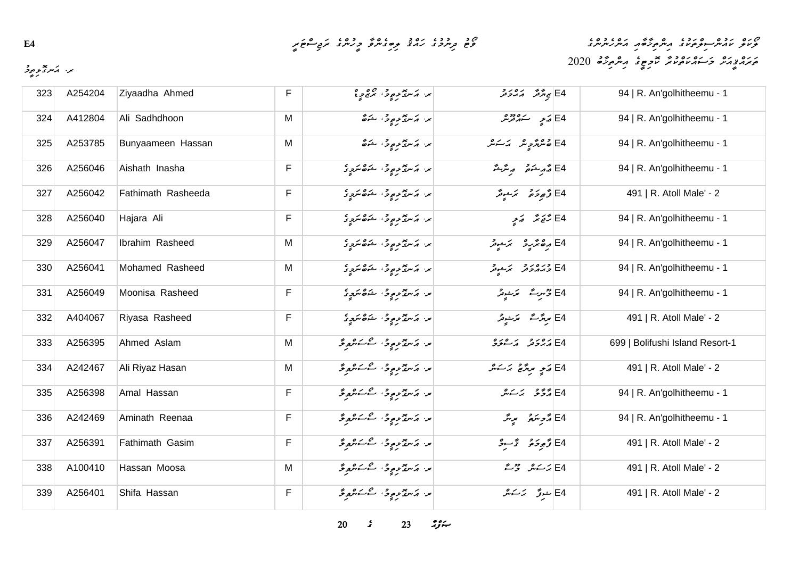*sCw7q7s5w7m< o<n9nOoAw7o< sCq;mAwBoEw7q<m; wBm;vB* م من المرة المرة المرة المرجع المرجع في المركبة 2020<br>مجم*د المريض المربوط المربع المرجع في المراجع المركبة* 

| $\rightarrow$ $\times$ $\rightarrow$ |  |  |
|--------------------------------------|--|--|
| ىر. برسرى ىرەر                       |  |  |
|                                      |  |  |

| 323 | A254204 | Ziyaadha Ahmed     | F           | ىر. مەسىم <i>موق، مۇنج</i> ب <sub>و</sub> لا          | E4 بې پژ <i>نگ مذکر د</i> ر      | 94   R. An'golhitheemu - 1      |
|-----|---------|--------------------|-------------|-------------------------------------------------------|----------------------------------|---------------------------------|
| 324 | A412804 | Ali Sadhdhoon      | M           | ىن مەسىر مودا شەڭ                                     | E4 ڪچ سنگھرمشر                   | 94   R. An'golhitheemu - 1      |
| 325 | A253785 | Bunyaameen Hassan  | M           | بن مُسْرَوْهِ وَاسْتَهْ                               | E4 ھەمگە جەمئە ئەسكەنلەر         | 94   R. An'golhitheemu - 1      |
| 326 | A256046 | Aishath Inasha     | $\mathsf F$ | المن المستخرم وحي الشكرة مترورة                       | E4 مَّ مِشَمَّ مِسَّرْشَّہ       | 94   R. An'golhitheemu - 1      |
| 327 | A256042 | Fathimath Rasheeda | F           | المن المستخرم وحي الشكرة مترورة                       | E4 تُرجوحَ مَمْ سَمِيمٌ          | 491   R. Atoll Male' - 2        |
| 328 | A256040 | Hajara Ali         | $\mathsf F$ | بر كاسع دود، كان دور د                                | E4 حُتى مَتْرَ صَمَّحِي          | 94   R. An'golhitheemu - 1      |
| 329 | A256047 | Ibrahim Rasheed    | M           | بر كاستوج فكالمردع                                    | E4 مەھەر بۇ مەسىم ئىر            | 94   R. An'golhitheemu - 1      |
| 330 | A256041 | Mohamed Rasheed    | M           | بر كاستوج فكالمردع                                    | /E4 <i>\$22.2 مَرْ</i> خِيمَ     | 94   R. An'golhitheemu - 1      |
| 331 | A256049 | Moonisa Rasheed    | $\mathsf F$ | من مكس وهود الشكوان من                                | E4 في سرت محمد سيرتير السيرتير   | 94   R. An'golhitheemu - 1      |
| 332 | A404067 | Riyasa Rasheed     | F           | بر كەسلام بولى ئەھ سىرى                               | E4 برمز تمر مرسور                | 491   R. Atoll Male' - 2        |
| 333 | A256395 | Ahmed Aslam        | M           | ىر مەس <sub>موق</sub> ى ئەس ھەر                       | E4 كەبروتى كەسىر 2 <i>4</i>      | 699   Bolifushi Island Resort-1 |
| 334 | A242467 | Ali Riyaz Hasan    | M           | ىر. مەسمەم دەپ سىسكىلىرىدۇ.                           | E4 كەير بىرىگەنج كەسكەنگر        | 491   R. Atoll Male' - 2        |
| 335 | A256398 | Amal Hassan        | F           | ىر. مەسمەم دەر مەسكىھ ئۇ                              | E4 كَرْدَّقْ بَرْسَ <i>مْ</i> سْ | 94   R. An'golhitheemu - 1      |
| 336 | A242469 | Aminath Reenaa     | $\mathsf F$ | ىر. مەستەرەرى، سەسەھرەتى                              | E4 مُج سَمَعُ مَ سِتَر           | 94   R. An'golhitheemu - 1      |
| 337 | A256391 | Fathimath Gasim    | $\mathsf F$ | ىر. مەستەرەرى، سەسكىرىدۇ.                             | E4 رَّج <i>و حَمَ</i> تَحْسِبُوْ | 491   R. Atoll Male' - 2        |
| 338 | A100410 | Hassan Moosa       | M           | ىر. مەس <sub>كى</sub> ئ <sub>وم</sub> وت سىر كىشمەنگە | E4 پرسٹر ویٹ                     | 491   R. Atoll Male' - 2        |
| 339 | A256401 | Shifa Hassan       | F           | ى مىستومود، شەرەر ئو                                  | E4 حو <i>ق برَسَ</i> مبر         | 491   R. Atoll Male' - 2        |

 $20$  *s*  $23$  *z*  $25$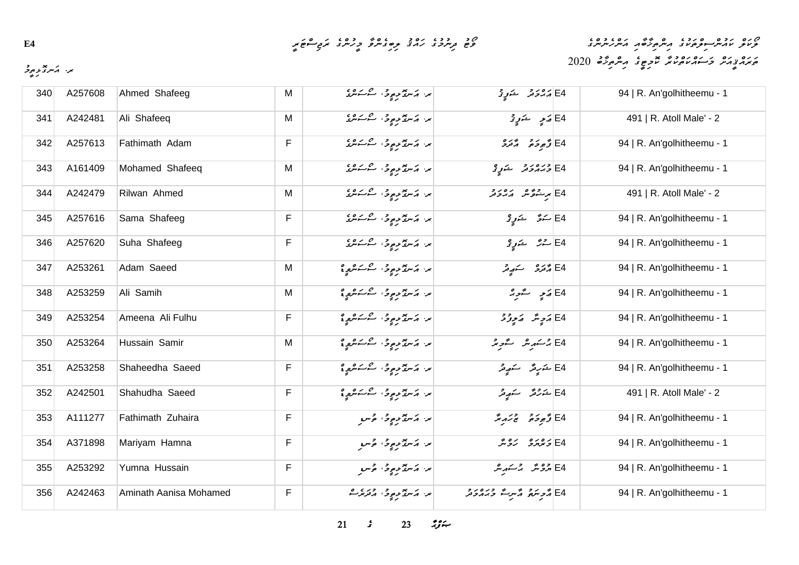*sCw7q7s5w7m< o<n9nOoAw7o< sCq;mAwBoEw7q<m; wBm;vB* م من المرة المرة المرة المرجع المرجع في المركبة 2020<br>مجم*د المريض المربوط المربع المرجع في المراجع المركبة* 

|     | , , ,             |  |  |
|-----|-------------------|--|--|
| s 1 | بر. برسری عرصی فر |  |  |
|     |                   |  |  |

| 340 | A257608 | Ahmed Shafeeg          | M           | ىن مەسمەرەمۇق سەسەسمە         |                                         | 94   R. An'golhitheemu - 1 |
|-----|---------|------------------------|-------------|-------------------------------|-----------------------------------------|----------------------------|
| 341 | A242481 | Ali Shafeeq            | M           | ىن مەسمەم بەرق، سەسەسمە       | E4 <i>جَرِجِهِ حَوِي</i> رَ             | 491   R. Atoll Male' - 2   |
| 342 | A257613 | Fathimath Adam         | $\mathsf F$ | ىن مەسمەم بەرق، سەسەسمە       | E4 وَج <i>ُوحَة مُقرَّح</i>             | 94   R. An'golhitheemu - 1 |
| 343 | A161409 | Mohamed Shafeeq        | M           | بر رکسته ده ده کرده و         | E4 <i>2525 متوي</i>                     | 94   R. An'golhitheemu - 1 |
| 344 | A242479 | Rilwan Ahmed           | M           | ىر. مەستەرمۇق، سەسەمىي        | E4 برشو <i>ؤ</i> یر بربردی <sub>ر</sub> | 491   R. Atoll Male' - 2   |
| 345 | A257616 | Sama Shafeeg           | $\mathsf F$ | بر مستوج في مشتمل             | E4 کے ش <i>ور</i> و                     | 94   R. An'golhitheemu - 1 |
| 346 | A257620 | Suha Shafeeg           | $\mathsf F$ | ىن مەسمەم بەرق، سەسەسمە       | E4 گەنگە مىتوپۇ                         | 94   R. An'golhitheemu - 1 |
| 347 | A253261 | Adam Saeed             | M           | ىر. مەسمەم يەھ سىسكىسى ي      | E4 جۇنزى سى <i>مپەن</i> ز               | 94   R. An'golhitheemu - 1 |
| 348 | A253259 | Ali Samih              | M           | ىن مەسمەرمۇق سەسەھرى          | E4 <i>ج</i> َعٍ سُمَّحِ مُّ             | 94   R. An'golhitheemu - 1 |
| 349 | A253254 | Ameena Ali Fulhu       | F           | بر رسيد و عن عروه             | E4 كەچ ئىگە كەمپرى <sup>3</sup>         | 94   R. An'golhitheemu - 1 |
| 350 | A253264 | Hussain Samir          | M           | ىر. مەسمەم بەرە سىمسكىرى يە   | E4 پر <i>کے <sub>م</sub>یٹر گے ج</i> گ  | 94   R. An'golhitheemu - 1 |
| 351 | A253258 | Shaheedha Saeed        | $\mathsf F$ | بر رسيد و عن عروه             | E4 شَرِيرٌ سَم <i>وِيرٌ</i>             | 94   R. An'golhitheemu - 1 |
| 352 | A242501 | Shahudha Saeed         | F           | ىر. مەسمە موج ق سىم مىلمونى   | E4 شەرقى <sub>ش</sub> سى <i>مپىتى</i>   | 491   R. Atoll Male' - 2   |
| 353 | A111277 | Fathimath Zuhaira      | F           | ىر. م <i>ەستەرەپەدى مۇ</i> سر | E4 رَّج <i>وحَةْ</i> بِمَ رَمِيمَّ      | 94   R. An'golhitheemu - 1 |
| 354 | A371898 | Mariyam Hamna          | $\mathsf F$ | برا مُسكومٍ في مُسو           | E4 كەندىرى ئەۋىگە                       | 94   R. An'golhitheemu - 1 |
| 355 | A253292 | Yumna Hussain          | $\mathsf F$ | برا مُسكومٍ في مُسو           | E4 پروتئر بر <i>شہر</i> یئر             | 94   R. An'golhitheemu - 1 |
| 356 | A242463 | Aminath Aanisa Mohamed | F           | ىر. مەسكەن ئوق، مەمكەنگەت     | E4 أُرُوِ سَرَةَ أَرْسِتْ وَيَرْدُونَر  | 94   R. An'golhitheemu - 1 |

 $21$  *s*  $23$  *n***<sub>s</sub>**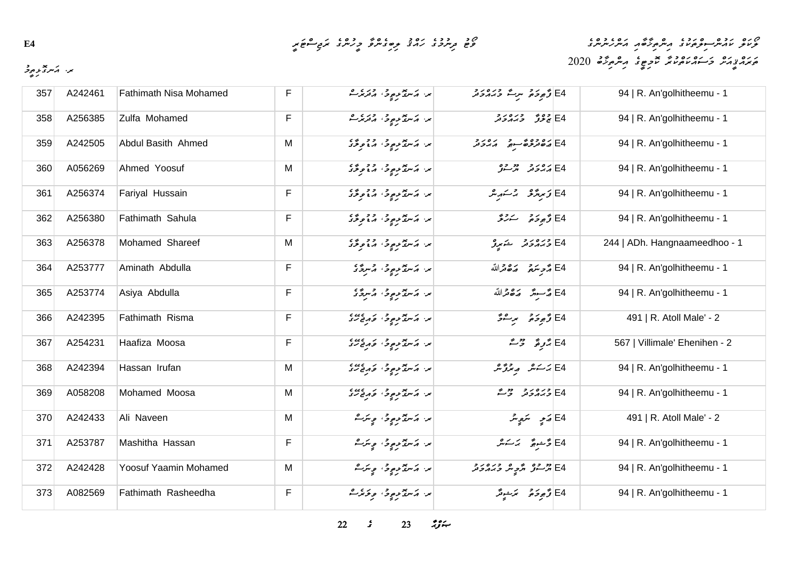*sCw7q7s5w7m< o<n9nOoAw7o< sCq;mAwBoEw7q<m; wBm;vB* م من المرة المرة المرة المرجع المرجع في المركبة 2020<br>مجم*د المريض المربوط المربع المرجع في المراجع المركبة* 

| $\overline{\phantom{a}}$ | $\sim$ $\sim$  |  |
|--------------------------|----------------|--|
|                          | ىر. برسرى يوجو |  |
| s 1                      |                |  |

| 357 | A242461 | <b>Fathimath Nisa Mohamed</b> | $\mathsf{F}$ | ىن مەسكەبولىقى مەمەرك                                                                                                                                                                                                            | E4 وَجوحَمَ سِرْ وَرَمُ وَمَنْ                                                                                | 94   R. An'golhitheemu - 1    |
|-----|---------|-------------------------------|--------------|----------------------------------------------------------------------------------------------------------------------------------------------------------------------------------------------------------------------------------|---------------------------------------------------------------------------------------------------------------|-------------------------------|
| 358 | A256385 | Zulfa Mohamed                 | F            | بر كالمعرفي ودري                                                                                                                                                                                                                 | E4 يحوثر وبرودور                                                                                              | 94   R. An'golhitheemu - 1    |
| 359 | A242505 | Abdul Basith Ahmed            | M            | بر ، كەسلام يومى بروغ ئ                                                                                                                                                                                                          | E4 مەھەر ئۇ ھەر مەر دەر د                                                                                     | 94   R. An'golhitheemu - 1    |
| 360 | A056269 | Ahmed Yoosuf                  | M            | بر ، مسيح ده و ، من و د ،                                                                                                                                                                                                        | E4 , جو جو جو جو جو جو جو بير المنظمة المنظمة المنظمة المنظمة المنظمة المنظمة المنظمة المنظمة المنظمة المنظمة | 94   R. An'golhitheemu - 1    |
| 361 | A256374 | Fariyal Hussain               | $\mathsf F$  | بر كەسلام بولى مەم ئولى                                                                                                                                                                                                          | E4 ۇىرى <i>گى ئىمىشى</i> ر                                                                                    | 94   R. An'golhitheemu - 1    |
| 362 | A256380 | Fathimath Sahula              | $\mathsf F$  | بر ، كەسلام يومى بروغ ئ                                                                                                                                                                                                          | E4 تُرجوحَ هُ سَنَرْتُرُ                                                                                      | 94   R. An'golhitheemu - 1    |
| 363 | A256378 | Mohamed Shareef               | M            | بر. مُس و و د د و و د                                                                                                                                                                                                            | E4 <i>3225 مَدَ مِروْ</i>                                                                                     | 244   ADh. Hangnaameedhoo - 1 |
| 364 | A253777 | Aminath Abdulla               | $\mathsf{F}$ | بر ، مسيوم و ، مسروم .                                                                                                                                                                                                           | E4 مُرْحِسَمَةً مَرْهُ قَدْاللّه                                                                              | 94   R. An'golhitheemu - 1    |
| 365 | A253774 | Asiya Abdulla                 | $\mathsf F$  | برا مستوجع والمستقافة                                                                                                                                                                                                            | E4 صَرْحَمَّةَ صَدَّدَتَكَ اللَّهُ                                                                            | 94   R. An'golhitheemu - 1    |
| 366 | A242395 | Fathimath Risma               | F            | بر كەسلام بولى ئەلگەن ئە                                                                                                                                                                                                         | E4 تُرجوحَ مَ سِرْحَمَدُّ                                                                                     | 491   R. Atoll Male' - 2      |
| 367 | A254231 | Haafiza Moosa                 | $\mathsf{F}$ | بر كەسكە بولى ئەلگە ئ                                                                                                                                                                                                            | E4 يُروتُو بِيْتَ مِنْ                                                                                        | 567   Villimale' Ehenihen - 2 |
| 368 | A242394 | Hassan Irufan                 | M            | من مكس موجود المحمد المصري                                                                                                                                                                                                       | E4 ئەسەھر ب <i>ەيدۇ</i> نىر                                                                                   | 94   R. An'golhitheemu - 1    |
| 369 | A058208 | Mohamed Moosa                 | M            | بر کے سر اس کے اس کا اس کا اس کا اس کا اس کا اس کا اس کا اس کا اس کا اس کا اس کا اس کا اس کا اس کا اس کا اس کا<br>اس کا اس کا اس کا اس کا اس کا اس کا اس کا اس کا اس کا اس کا اس کا اس کا اس کا اس کا اس کا اس کا اس کا اس کا اس | $23.225$ E4                                                                                                   | 94   R. An'golhitheemu - 1    |
| 370 | A242433 | Ali Naveen                    | M            | ىر. مەسىم دەپرە، مەس <sup>ى</sup>                                                                                                                                                                                                | E4 <i>ھَ جِ</i> سَمِيش                                                                                        | 491   R. Atoll Male' - 2      |
| 371 | A253787 | Mashitha Hassan               | $\mathsf{F}$ | بر ، كەسكەن ئومۇر، ئۇسكە                                                                                                                                                                                                         | E4 جُسْبِهُمْ بَرَسَمْكُر                                                                                     | 94   R. An'golhitheemu - 1    |
| 372 | A242428 | Yoosuf Yaamin Mohamed         | M            | بر ، ئەستەرەپەق ، پەترىشە                                                                                                                                                                                                        | E4 پڑے پر محمد مقدم دیں دیا ہے                                                                                | 94   R. An'golhitheemu - 1    |
| 373 | A082569 | Fathimath Rasheedha           | F            | بر رکبر بروی و دی ه                                                                                                                                                                                                              | E4 وَجوحَة مَ مَرْسُومَّر                                                                                     | 94   R. An'golhitheemu - 1    |

 $22$  *s*  $23$  *z*  $23$